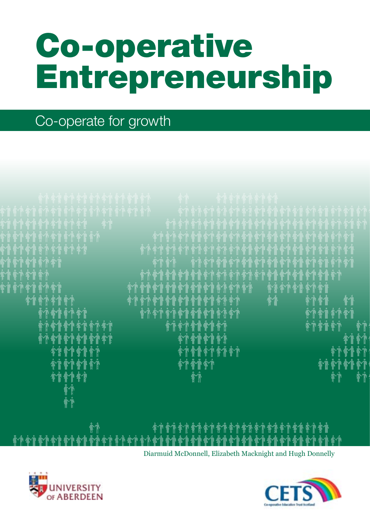# Co-operative Entrepreneurship

# Co-operate for growth



Diarmuid McDonnell, Elizabeth Macknight and Hugh Donnelly



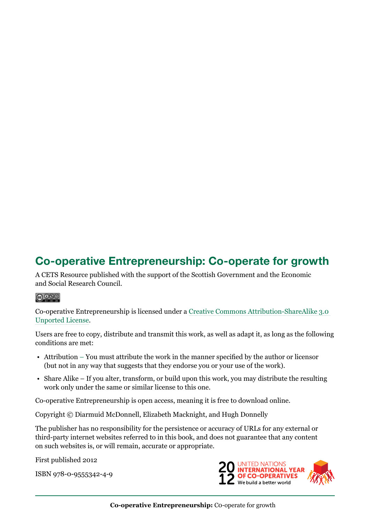### **Co-operative Entrepreneurship: Co-operate for growth**

A CETS Resource published with the support of the Scottish Government and the Economic and Social Research Council.

#### @000

Co-operative Entrepreneurship is licensed under a [Creative Commons Attribution-ShareAlike 3.0](http://creativecommons.org/licenses/by-sa/3.0/)  [Unported License](http://creativecommons.org/licenses/by-sa/3.0/).

Users are free to copy, distribute and transmit this work, as well as adapt it, as long as the following conditions are met:

- Attribution You must attribute the work in the manner specified by the author or licensor (but not in any way that suggests that they endorse you or your use of the work).
- Share Alike If you alter, transform, or build upon this work, you may distribute the resulting work only under the same or similar license to this one.

Co-operative Entrepreneurship is open access, meaning it is free to download online.

Copyright © Diarmuid McDonnell, Elizabeth Macknight, and Hugh Donnelly

The publisher has no responsibility for the persistence or accuracy of URLs for any external or third-party internet websites referred to in this book, and does not guarantee that any content on such websites is, or will remain, accurate or appropriate.

First published 2012

ISBN 978-0-9555342-4-9

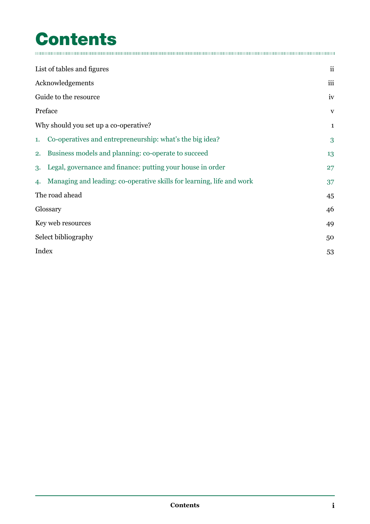# Contents

| List of tables and figures            | ii                                                                    |              |
|---------------------------------------|-----------------------------------------------------------------------|--------------|
| Acknowledgements                      |                                                                       | iii          |
| Guide to the resource                 |                                                                       | iv           |
| Preface                               |                                                                       | $\mathbf{V}$ |
| Why should you set up a co-operative? |                                                                       | $\mathbf{1}$ |
| 1.                                    | Co-operatives and entrepreneurship: what's the big idea?              | 3            |
| 2.                                    | Business models and planning: co-operate to succeed                   | 13           |
| 3.                                    | Legal, governance and finance: putting your house in order            | 27           |
| 4.                                    | Managing and leading: co-operative skills for learning, life and work | 37           |
| The road ahead                        |                                                                       | 45           |
| Glossary                              |                                                                       | 46           |
| Key web resources                     |                                                                       | 49           |
| Select bibliography                   |                                                                       | 50           |
| Index                                 |                                                                       | 53           |
|                                       |                                                                       |              |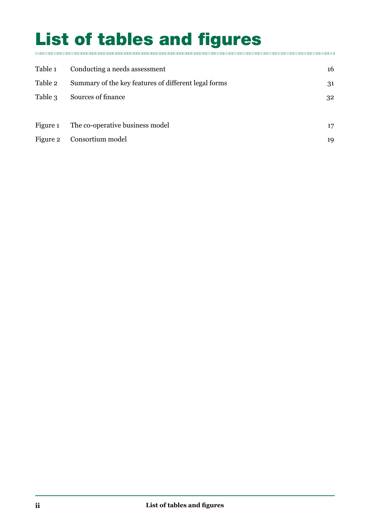# <span id="page-3-0"></span>List of tables and figures

| Table 1  | Conducting a needs assessment                        | 16 |
|----------|------------------------------------------------------|----|
| Table 2  | Summary of the key features of different legal forms | 31 |
| Table 3  | Sources of finance                                   | 32 |
|          |                                                      |    |
| Figure 1 | The co-operative business model                      | 17 |
| Figure 2 | Consortium model                                     | 19 |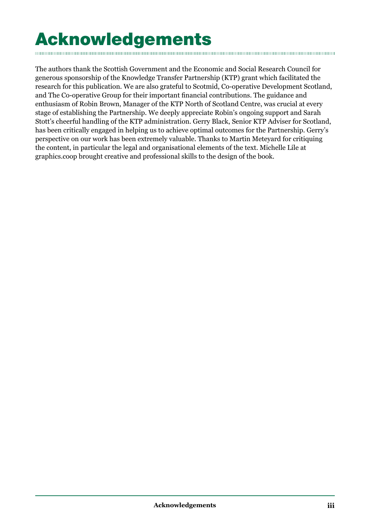# <span id="page-4-0"></span>Acknowledgements

The authors thank the Scottish Government and the Economic and Social Research Council for generous sponsorship of the Knowledge Transfer Partnership (KTP) grant which facilitated the research for this publication. We are also grateful to Scotmid, Co-operative Development Scotland, and The Co-operative Group for their important financial contributions. The guidance and enthusiasm of Robin Brown, Manager of the KTP North of Scotland Centre, was crucial at every stage of establishing the Partnership. We deeply appreciate Robin's ongoing support and Sarah Stott's cheerful handling of the KTP administration. Gerry Black, Senior KTP Adviser for Scotland, has been critically engaged in helping us to achieve optimal outcomes for the Partnership. Gerry's perspective on our work has been extremely valuable. Thanks to Martin Meteyard for critiquing the content, in particular the legal and organisational elements of the text. Michelle Lile at graphics.coop brought creative and professional skills to the design of the book.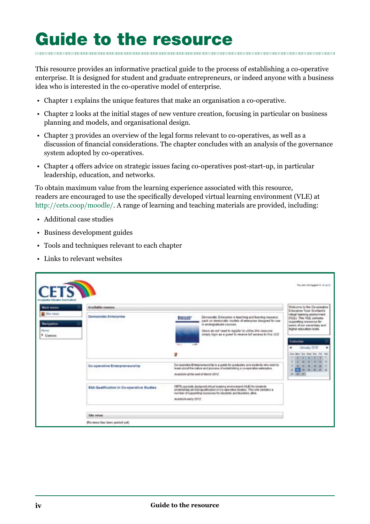## <span id="page-5-0"></span>Guide to the resource

This resource provides an informative practical guide to the process of establishing a co-operative enterprise. It is designed for student and graduate entrepreneurs, or indeed anyone with a business idea who is interested in the co-operative model of enterprise.

- Chapter 1 explains the unique features that make an organisation a co-operative.
- • Chapter 2 looks at the initial stages of new venture creation, focusing in particular on business planning and models, and organisational design.
- Chapter 3 provides an overview of the legal forms relevant to co-operatives, as well as a discussion of financial considerations. The chapter concludes with an analysis of the governance system adopted by co-operatives.
- Chapter 4 offers advice on strategic issues facing co-operatives post-start-up, in particular leadership, education, and networks.

To obtain maximum value from the learning experience associated with this resource, readers are encouraged to use the specifically developed virtual learning environment (VLE) at <http://cets.coop/moodle/>. A range of learning and teaching materials are provided, including:

- • Additional case studies
- • Business development guides
- • Tools and techniques relevant to each chapter
- Links to relevant websites

| Available courses                         |                                                                                                                                                                                                                                                                                       | Walcome to the Ca-apenative<br>Education Trust Scotland's                                                                                     |
|-------------------------------------------|---------------------------------------------------------------------------------------------------------------------------------------------------------------------------------------------------------------------------------------------------------------------------------------|-----------------------------------------------------------------------------------------------------------------------------------------------|
| <b>Democratic Enterprise</b>              | Democratic Enterprise is feaching and learning resource<br>التجنبة<br>pack on democratic models of exterprise designed for use<br>in andergraduate courses.<br>Users do not need to register to utilize this resource:<br>simply login as a quest to receive full access to this VLE. | transporting promoted laudest<br>(VLE). This VLE centains<br>supporting resources for<br>saws of our secondary and<br>higher education taxts. |
|                                           | the con-<br>$-44$                                                                                                                                                                                                                                                                     | Calendar.<br>January 2012                                                                                                                     |
| Co-operative Enterpreneurship             | Co-operative Entrepreneuration is a guida for graduates and students who wish by<br>learn about the nature and process of establishing a co-operative enterprise.<br>Scribts around human and he shiftested.                                                                          | $38 - 38$ $37 - 38$<br><b>JR 30 194</b>                                                                                                       |
| 9GA Qualification in Co-operative Studies | CETS spectally designed situal teaming environment /vLE) for cluderity<br>undertaking an EQA gratification in Co-operative Studies. This site contains a<br>number of supporting resources for students and teachers allne.                                                           |                                                                                                                                               |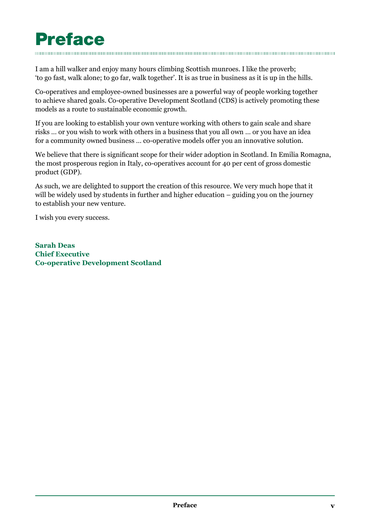<span id="page-6-0"></span>

I am a hill walker and enjoy many hours climbing Scottish munroes. I like the proverb; 'to go fast, walk alone; to go far, walk together'. It is as true in business as it is up in the hills.

Co-operatives and employee-owned businesses are a powerful way of people working together to achieve shared goals. Co-operative Development Scotland (CDS) is actively promoting these models as a route to sustainable economic growth.

If you are looking to establish your own venture working with others to gain scale and share risks … or you wish to work with others in a business that you all own … or you have an idea for a community owned business … co-operative models offer you an innovative solution.

We believe that there is significant scope for their wider adoption in Scotland. In Emilia Romagna, the most prosperous region in Italy, co-operatives account for 40 per cent of gross domestic product (GDP).

As such, we are delighted to support the creation of this resource. We very much hope that it will be widely used by students in further and higher education – guiding you on the journey to establish your new venture.

I wish you every success.

**Sarah Deas Chief Executive Co-operative Development Scotland**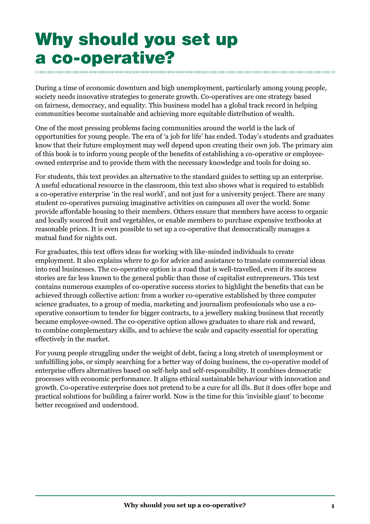# <span id="page-8-0"></span>Why should you set up a co-operative?

During a time of economic downturn and high unemployment, particularly among young people, society needs innovative strategies to generate growth. Co-operatives are one strategy based on fairness, democracy, and equality. This business model has a global track record in helping communities become sustainable and achieving more equitable distribution of wealth.

One of the most pressing problems facing communities around the world is the lack of opportunities for young people. The era of 'a job for life' has ended. Today's students and graduates know that their future employment may well depend upon creating their own job. The primary aim of this book is to inform young people of the benefits of establishing a co-operative or employeeowned enterprise and to provide them with the necessary knowledge and tools for doing so.

For students, this text provides an alternative to the standard guides to setting up an enterprise. A useful educational resource in the classroom, this text also shows what is required to establish a co-operative enterprise 'in the real world', and not just for a university project. There are many student co-operatives pursuing imaginative activities on campuses all over the world. Some provide affordable housing to their members. Others ensure that members have access to organic and locally sourced fruit and vegetables, or enable members to purchase expensive textbooks at reasonable prices. It is even possible to set up a co-operative that democratically manages a mutual fund for nights out.

For graduates, this text offers ideas for working with like-minded individuals to create employment. It also explains where to go for advice and assistance to translate commercial ideas into real businesses. The co-operative option is a road that is well-travelled, even if its success stories are far less known to the general public than those of capitalist entrepreneurs. This text contains numerous examples of co-operative success stories to highlight the benefits that can be achieved through collective action: from a worker co-operative established by three computer science graduates, to a group of media, marketing and journalism professionals who use a cooperative consortium to tender for bigger contracts, to a jewellery making business that recently became employee-owned. The co-operative option allows graduates to share risk and reward, to combine complementary skills, and to achieve the scale and capacity essential for operating effectively in the market.

For young people struggling under the weight of debt, facing a long stretch of unemployment or unfulfilling jobs, or simply searching for a better way of doing business, the co-operative model of enterprise offers alternatives based on self-help and self-responsibility. It combines democratic processes with economic performance. It aligns ethical sustainable behaviour with innovation and growth. Co-operative enterprise does not pretend to be a cure for all ills. But it does offer hope and practical solutions for building a fairer world. Now is the time for this 'invisible giant' to become better recognised and understood.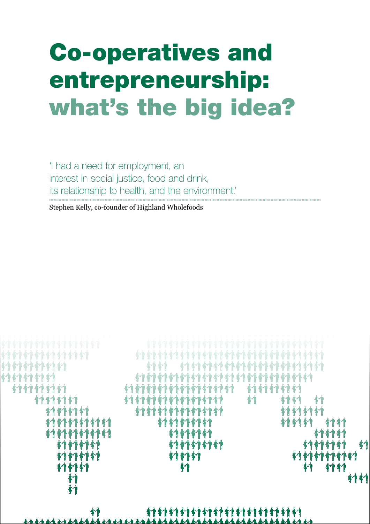# <span id="page-10-0"></span>Co-operatives and entrepreneurship: what's the big idea?

'I had a need for employment, an interest in social justice, food and drink, its relationship to health, and the environment.'

Stephen Kelly, co-founder of Highland Wholefoods

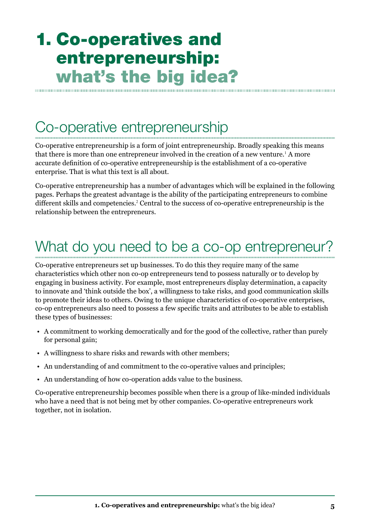# 1. Co-operatives and entrepreneurship: what's the big idea?

# Co-operative entrepreneurship

Co-operative entrepreneurship is a form of joint entrepreneurship. Broadly speaking this means that there is more than one entrepreneur involved in the creation of a new venture.<sup>1</sup> A more accurate definition of co-operative entrepreneurship is the establishment of a co-operative enterprise. That is what this text is all about.

Co-operative entrepreneurship has a number of advantages which will be explained in the following pages. Perhaps the greatest advantage is the ability of the participating entrepreneurs to combine different skills and competencies.<sup>2</sup> Central to the success of co-operative entrepreneurship is the relationship between the entrepreneurs.

# What do you need to be a co-op entrepreneur?

Co-operative entrepreneurs set up businesses. To do this they require many of the same characteristics which other non co-op entrepreneurs tend to possess naturally or to develop by engaging in business activity. For example, most entrepreneurs display determination, a capacity to innovate and 'think outside the box', a willingness to take risks, and good communication skills to promote their ideas to others. Owing to the unique characteristics of co-operative enterprises, co-op entrepreneurs also need to possess a few specific traits and attributes to be able to establish these types of businesses:

- • A commitment to working democratically and for the good of the collective, rather than purely for personal gain;
- A willingness to share risks and rewards with other members;
- • An understanding of and commitment to the co-operative values and principles;
- An understanding of how co-operation adds value to the business.

Co-operative entrepreneurship becomes possible when there is a group of like-minded individuals who have a need that is not being met by other companies. Co-operative entrepreneurs work together, not in isolation.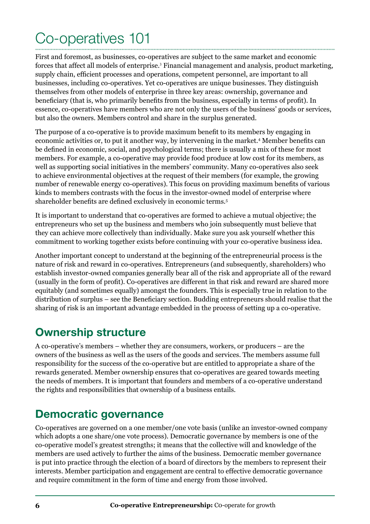# Co-operatives 101

First and foremost, as businesses, co-operatives are subject to the same market and economic forces that affect all models of enterprise.<sup>3</sup> Financial management and analysis, product marketing, supply chain, efficient processes and operations, competent personnel, are important to all businesses, including co-operatives. Yet co-operatives are unique businesses. They distinguish themselves from other models of enterprise in three key areas: ownership, governance and beneficiary (that is, who primarily benefits from the business, especially in terms of profit). In essence, co-operatives have members who are not only the users of the business' goods or services, but also the owners. Members control and share in the surplus generated.

The purpose of a co-operative is to provide maximum benefit to its members by engaging in economic activities or, to put it another way, by intervening in the market.<sup>4</sup> Member benefits can be defined in economic, social, and psychological terms; there is usually a mix of these for most members. For example, a co-operative may provide food produce at low cost for its members, as well as supporting social initiatives in the members' community. Many co-operatives also seek to achieve environmental objectives at the request of their members (for example, the growing number of renewable energy co-operatives). This focus on providing maximum benefits of various kinds to members contrasts with the focus in the investor-owned model of enterprise where shareholder benefits are defined exclusively in economic terms.<sup>5</sup>

It is important to understand that co-operatives are formed to achieve a mutual objective; the entrepreneurs who set up the business and members who join subsequently must believe that they can achieve more collectively than individually. Make sure you ask yourself whether this commitment to working together exists before continuing with your co-operative business idea.

Another important concept to understand at the beginning of the entrepreneurial process is the nature of risk and reward in co-operatives. Entrepreneurs (and subsequently, shareholders) who establish investor-owned companies generally bear all of the risk and appropriate all of the reward (usually in the form of profit). Co-operatives are different in that risk and reward are shared more equitably (and sometimes equally) amongst the founders. This is especially true in relation to the distribution of surplus – see the Beneficiary section. Budding entrepreneurs should realise that the sharing of risk is an important advantage embedded in the process of setting up a co-operative.

# **Ownership structure**

A co-operative's members – whether they are consumers, workers, or producers – are the owners of the business as well as the users of the goods and services. The members assume full responsibility for the success of the co-operative but are entitled to appropriate a share of the rewards generated. Member ownership ensures that co-operatives are geared towards meeting the needs of members. It is important that founders and members of a co-operative understand the rights and responsibilities that ownership of a business entails.

# **Democratic governance**

Co-operatives are governed on a one member/one vote basis (unlike an investor-owned company which adopts a one share/one vote process). Democratic governance by members is one of the co-operative model's greatest strengths; it means that the collective will and knowledge of the members are used actively to further the aims of the business. Democratic member governance is put into practice through the election of a board of directors by the members to represent their interests. Member participation and engagement are central to effective democratic governance and require commitment in the form of time and energy from those involved.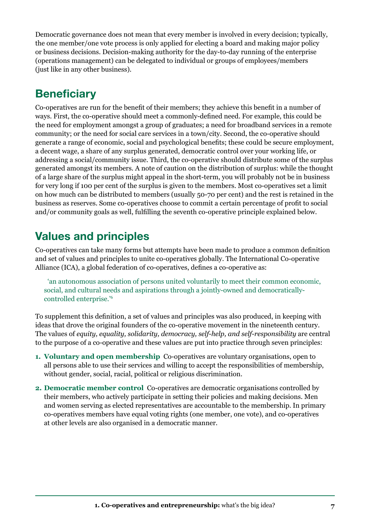Democratic governance does not mean that every member is involved in every decision; typically, the one member/one vote process is only applied for electing a board and making major policy or business decisions. Decision-making authority for the day-to-day running of the enterprise (operations management) can be delegated to individual or groups of employees/members (just like in any other business).

# **Beneficiary**

Co-operatives are run for the benefit of their members; they achieve this benefit in a number of ways. First, the co-operative should meet a commonly-defined need. For example, this could be the need for employment amongst a group of graduates; a need for broadband services in a remote community; or the need for social care services in a town/city. Second, the co-operative should generate a range of economic, social and psychological benefits; these could be secure employment, a decent wage, a share of any surplus generated, democratic control over your working life, or addressing a social/community issue. Third, the co-operative should distribute some of the surplus generated amongst its members. A note of caution on the distribution of surplus: while the thought of a large share of the surplus might appeal in the short-term, you will probably not be in business for very long if 100 per cent of the surplus is given to the members. Most co-operatives set a limit on how much can be distributed to members (usually 50-70 per cent) and the rest is retained in the business as reserves. Some co-operatives choose to commit a certain percentage of profit to social and/or community goals as well, fulfilling the seventh co-operative principle explained below.

# **Values and principles**

Co-operatives can take many forms but attempts have been made to produce a common definition and set of values and principles to unite co-operatives globally. The International Co-operative Alliance (ICA), a global federation of co-operatives, defines a co-operative as:

'an autonomous association of persons united voluntarily to meet their common economic, social, and cultural needs and aspirations through a jointly-owned and democraticallycontrolled enterprise.'6

To supplement this definition, a set of values and principles was also produced, in keeping with ideas that drove the original founders of the co-operative movement in the nineteenth century. The values of *equity, equality, solidarity, democracy, self-help, and self-responsibility* are central to the purpose of a co-operative and these values are put into practice through seven principles:

- **1. Voluntary and open membership** Co-operatives are voluntary organisations, open to all persons able to use their services and willing to accept the responsibilities of membership, without gender, social, racial, political or religious discrimination.
- **2. Democratic member control** Co-operatives are democratic organisations controlled by their members, who actively participate in setting their policies and making decisions. Men and women serving as elected representatives are accountable to the membership. In primary co-operatives members have equal voting rights (one member, one vote), and co-operatives at other levels are also organised in a democratic manner.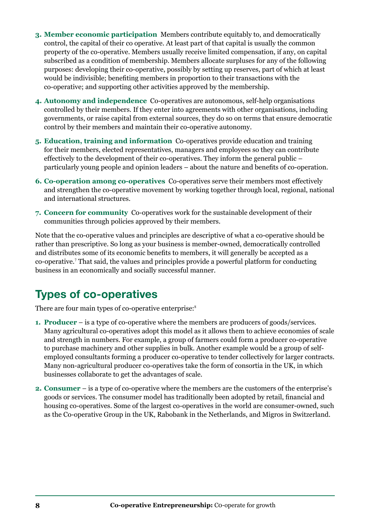- **3. Member economic participation** Members contribute equitably to, and democratically control, the capital of their co operative. At least part of that capital is usually the common property of the co-operative. Members usually receive limited compensation, if any, on capital subscribed as a condition of membership. Members allocate surpluses for any of the following purposes: developing their co-operative, possibly by setting up reserves, part of which at least would be indivisible; benefiting members in proportion to their transactions with the co-operative; and supporting other activities approved by the membership.
- **4. Autonomy and independence** Co-operatives are autonomous, self-help organisations controlled by their members. If they enter into agreements with other organisations, including governments, or raise capital from external sources, they do so on terms that ensure democratic control by their members and maintain their co-operative autonomy.
- **5. Education, training and information** Co-operatives provide education and training for their members, elected representatives, managers and employees so they can contribute effectively to the development of their co-operatives. They inform the general public – particularly young people and opinion leaders – about the nature and benefits of co-operation.
- **6. Co-operation among co-operatives** Co-operatives serve their members most effectively and strengthen the co-operative movement by working together through local, regional, national and international structures.
- **7. Concern for community** Co-operatives work for the sustainable development of their communities through policies approved by their members.

Note that the co-operative values and principles are descriptive of what a co-operative should be rather than prescriptive. So long as your business is member-owned, democratically controlled and distributes some of its economic benefits to members, it will generally be accepted as a co-operative.<sup>7</sup> That said, the values and principles provide a powerful platform for conducting business in an economically and socially successful manner.

# **Types of co-operatives**

There are four main types of co-operative enterprise:<sup>8</sup>

- **1. Producer** is a type of co-operative where the members are producers of goods/services. Many agricultural co-operatives adopt this model as it allows them to achieve economies of scale and strength in numbers. For example, a group of farmers could form a producer co-operative to purchase machinery and other supplies in bulk. Another example would be a group of selfemployed consultants forming a producer co-operative to tender collectively for larger contracts. Many non-agricultural producer co-operatives take the form of consortia in the UK, in which businesses collaborate to get the advantages of scale.
- **2. Consumer** is a type of co-operative where the members are the customers of the enterprise's goods or services. The consumer model has traditionally been adopted by retail, financial and housing co-operatives. Some of the largest co-operatives in the world are consumer-owned, such as the Co-operative Group in the UK, Rabobank in the Netherlands, and Migros in Switzerland.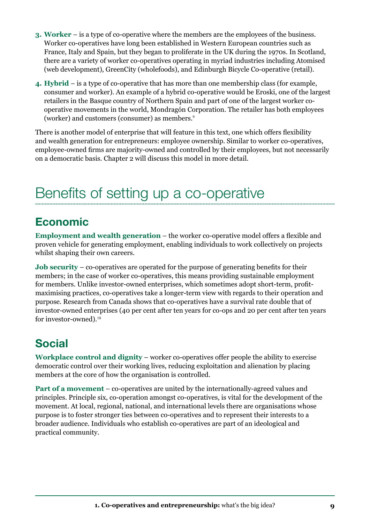- **3. Worker** is a type of co-operative where the members are the employees of the business. Worker co-operatives have long been established in Western European countries such as France, Italy and Spain, but they began to proliferate in the UK during the 1970s. In Scotland, there are a variety of worker co-operatives operating in myriad industries including Atomised (web development), GreenCity (wholefoods), and Edinburgh Bicycle Co-operative (retail).
- **4. Hybrid** is a type of co-operative that has more than one membership class (for example, consumer and worker). An example of a hybrid co-operative would be Eroski, one of the largest retailers in the Basque country of Northern Spain and part of one of the largest worker cooperative movements in the world, Mondragón Corporation. The retailer has both employees (worker) and customers (consumer) as members.<sup>9</sup>

There is another model of enterprise that will feature in this text, one which offers flexibility and wealth generation for entrepreneurs: employee ownership. Similar to worker co-operatives, employee-owned firms are majority-owned and controlled by their employees, but not necessarily on a democratic basis. Chapter 2 will discuss this model in more detail.

# Benefits of setting up a co-operative

# **Economic**

**Employment and wealth generation** – the worker co-operative model offers a flexible and proven vehicle for generating employment, enabling individuals to work collectively on projects whilst shaping their own careers.

**Job security** – co-operatives are operated for the purpose of generating benefits for their members; in the case of worker co-operatives, this means providing sustainable employment for members. Unlike investor-owned enterprises, which sometimes adopt short-term, profitmaximising practices, co-operatives take a longer-term view with regards to their operation and purpose. Research from Canada shows that co-operatives have a survival rate double that of investor-owned enterprises (40 per cent after ten years for co-ops and 20 per cent after ten years for investor-owned).<sup>10</sup>

# **Social**

**Workplace control and dignity** – worker co-operatives offer people the ability to exercise democratic control over their working lives, reducing exploitation and alienation by placing members at the core of how the organisation is controlled.

**Part of a movement** – co-operatives are united by the internationally-agreed values and principles. Principle six, co-operation amongst co-operatives, is vital for the development of the movement. At local, regional, national, and international levels there are organisations whose purpose is to foster stronger ties between co-operatives and to represent their interests to a broader audience. Individuals who establish co-operatives are part of an ideological and practical community.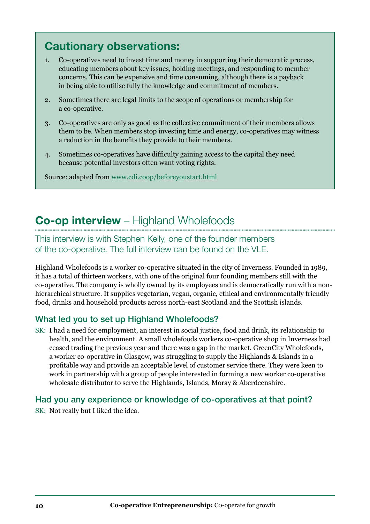# **Cautionary observations:**

- 1. Co-operatives need to invest time and money in supporting their democratic process, educating members about key issues, holding meetings, and responding to member concerns. This can be expensive and time consuming, although there is a payback in being able to utilise fully the knowledge and commitment of members.
- 2. Sometimes there are legal limits to the scope of operations or membership for a co-operative.
- 3. Co-operatives are only as good as the collective commitment of their members allows them to be. When members stop investing time and energy, co-operatives may witness a reduction in the benefits they provide to their members.
- 4. Sometimes co-operatives have difficulty gaining access to the capital they need because potential investors often want voting rights.

Source: adapted from [www.cdi.coop/beforeyoustart.html](http://www.cdi.coop/beforeyoustart.html)

### **Co-op interview** – Highland Wholefoods

This interview is with Stephen Kelly, one of the founder members of the co-operative. The full interview can be found on the VLE.

Highland Wholefoods is a worker co-operative situated in the city of Inverness. Founded in 1989, it has a total of thirteen workers, with one of the original four founding members still with the co-operative. The company is wholly owned by its employees and is democratically run with a nonhierarchical structure. It supplies vegetarian, vegan, organic, ethical and environmentally friendly food, drinks and household products across north-east Scotland and the Scottish islands.

### What led you to set up Highland Wholefoods?

SK: I had a need for employment, an interest in social justice, food and drink, its relationship to health, and the environment. A small wholefoods workers co-operative shop in Inverness had ceased trading the previous year and there was a gap in the market. GreenCity Wholefoods, a worker co-operative in Glasgow, was struggling to supply the Highlands & Islands in a profitable way and provide an acceptable level of customer service there. They were keen to work in partnership with a group of people interested in forming a new worker co-operative wholesale distributor to serve the Highlands, Islands, Moray & Aberdeenshire.

### Had you any experience or knowledge of co-operatives at that point?

SK: Not really but I liked the idea.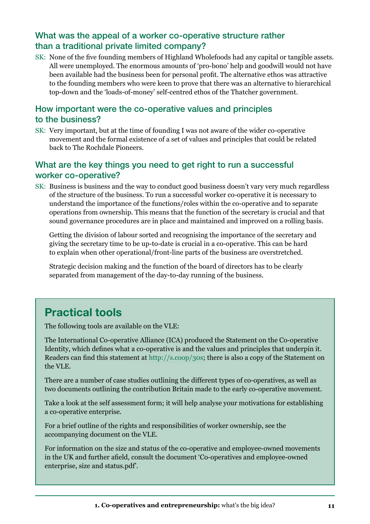#### What was the appeal of a worker co-operative structure rather than a traditional private limited company?

SK: None of the five founding members of Highland Wholefoods had any capital or tangible assets. All were unemployed. The enormous amounts of 'pro-bono' help and goodwill would not have been available had the business been for personal profit. The alternative ethos was attractive to the founding members who were keen to prove that there was an alternative to hierarchical top-down and the 'loads-of-money' self-centred ethos of the Thatcher government.

#### How important were the co-operative values and principles to the business?

SK: Very important, but at the time of founding I was not aware of the wider co-operative movement and the formal existence of a set of values and principles that could be related back to The Rochdale Pioneers.

### What are the key things you need to get right to run a successful worker co-operative?

SK: Business is business and the way to conduct good business doesn't vary very much regardless of the structure of the business. To run a successful worker co-operative it is necessary to understand the importance of the functions/roles within the co-operative and to separate operations from ownership. This means that the function of the secretary is crucial and that sound governance procedures are in place and maintained and improved on a rolling basis.

Getting the division of labour sorted and recognising the importance of the secretary and giving the secretary time to be up-to-date is crucial in a co-operative. This can be hard to explain when other operational/front-line parts of the business are overstretched.

Strategic decision making and the function of the board of directors has to be clearly separated from management of the day-to-day running of the business.

# **Practical tools**

The following tools are available on the VLE:

The International Co-operative Alliance (ICA) produced the Statement on the Co-operative Identity, which defines what a co-operative is and the values and principles that underpin it. Readers can find this statement at <http://s.coop/30s>; there is also a copy of the Statement on the VLE.

There are a number of case studies outlining the different types of co-operatives, as well as two documents outlining the contribution Britain made to the early co-operative movement.

Take a look at the self assessment form; it will help analyse your motivations for establishing a co-operative enterprise.

For a brief outline of the rights and responsibilities of worker ownership, see the accompanying document on the VLE.

For information on the size and status of the co-operative and employee-owned movements in the UK and further afield, consult the document 'Co-operatives and employee-owned enterprise, size and status.pdf'.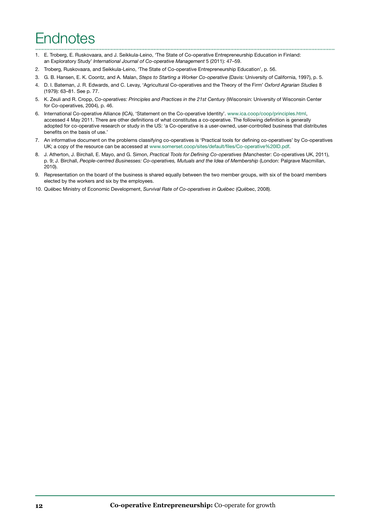# **Endnotes**

- 1. E. Troberg, E. Ruskovaara, and J. Seikkula-Leino, 'The State of Co-operative Entrepreneurship Education in Finland: an Exploratory Study' *International Journal of Co-operative Management* 5 (2011): 47–59.
- 2. Troberg, Ruskovaara, and Seikkula-Leino, 'The State of Co-operative Entrepreneurship Education', p. 56.
- 3. G. B. Hansen, E. K. Coontz, and A. Malan, *Steps to Starting a Worker Co-operative* (Davis: University of California, 1997), p. 5.
- 4. D. I. Bateman, J. R. Edwards, and C. Levay, 'Agricultural Co-operatives and the Theory of the Firm' *Oxford Agrarian Studies* 8 (1979): 63–81. See p. 77.
- 5. K. Zeuli and R. Cropp, *Co-operatives: Principles and Practices in the 21st Century* (Wisconsin: University of Wisconsin Center for Co-operatives, 2004), p. 46.
- 6. International Co-operative Alliance (ICA), 'Statement on the Co-operative Identity'. [www.ica.coop/coop/principles.html,](http://www.ica.coop/coop/principles.html) accessed 4 May 2011. There are other definitions of what constitutes a co-operative. The following definition is generally adopted for co-operative research or study in the US: 'a Co-operative is a user-owned, user-controlled business that distributes benefits on the basis of use.'
- 7. An informative document on the problems classifying co-operatives is 'Practical tools for defining co-operatives' by Co-operatives UK; a copy of the resource can be accessed at [www.somerset.coop/sites/default/files/Co-operative%20ID.pdf.](http://www.somerset.coop/sites/default/files/Co-operative%20ID.pdf)
- 8. J. Atherton, J. Birchall, E. Mayo, and G. Simon, *Practical Tools for Defining Co-operatives* (Manchester: Co-operatives UK, 2011), p. 9; J. Birchall, People-centred Businesses: Co-operatives, Mutuals and the Idea of Membership (London: Palgrave Macmillan, 2010).
- 9. Representation on the board of the business is shared equally between the two member groups, with six of the board members elected by the workers and six by the employees.
- 10. Québec Ministry of Economic Development, *Survival Rate of Co-operatives in Québec* (Québec, 2008).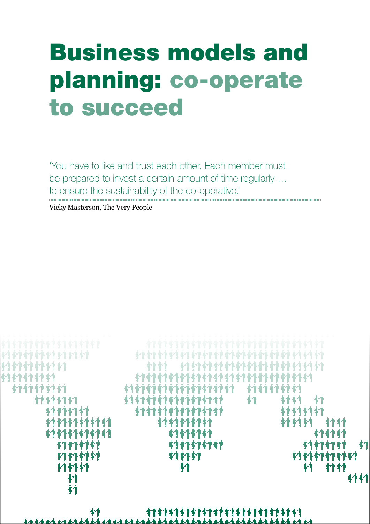# <span id="page-20-0"></span>Business models and planning: co-operate to succeed

'You have to like and trust each other. Each member must be prepared to invest a certain amount of time regularly … to ensure the sustainability of the co-operative.'

Vicky Masterson, The Very People

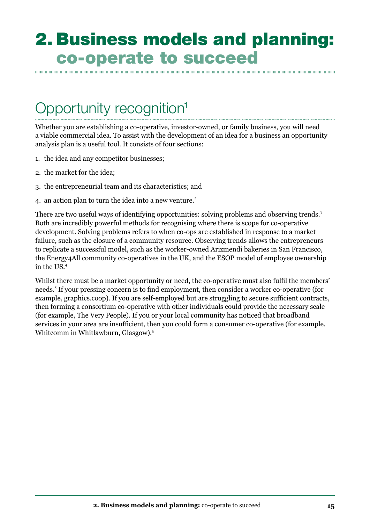# 2. Business models and planning: co-operate to succeed

Opportunity recognition<sup>1</sup>

Whether you are establishing a co-operative, investor-owned, or family business, you will need a viable commercial idea. To assist with the development of an idea for a business an opportunity analysis plan is a useful tool. It consists of four sections:

- 1. the idea and any competitor businesses;
- 2. the market for the idea;
- 3. the entrepreneurial team and its characteristics; and
- 4. an action plan to turn the idea into a new venture.<sup>2</sup>

There are two useful ways of identifying opportunities: solving problems and observing trends.<sup>3</sup> Both are incredibly powerful methods for recognising where there is scope for co-operative development. Solving problems refers to when co-ops are established in response to a market failure, such as the closure of a community resource. Observing trends allows the entrepreneurs to replicate a successful model, such as the worker-owned Arizmendi bakeries in San Francisco, the Energy4All community co-operatives in the UK, and the ESOP model of employee ownership in the US.<sup>4</sup>

Whilst there must be a market opportunity or need, the co-operative must also fulfil the members' needs.<sup>5</sup> If your pressing concern is to find employment, then consider a worker co-operative (for example, graphics.coop). If you are self-employed but are struggling to secure sufficient contracts, then forming a consortium co-operative with other individuals could provide the necessary scale (for example, The Very People). If you or your local community has noticed that broadband services in your area are insufficient, then you could form a consumer co-operative (for example, Whitcomm in Whitlawburn, Glasgow).<sup>6</sup>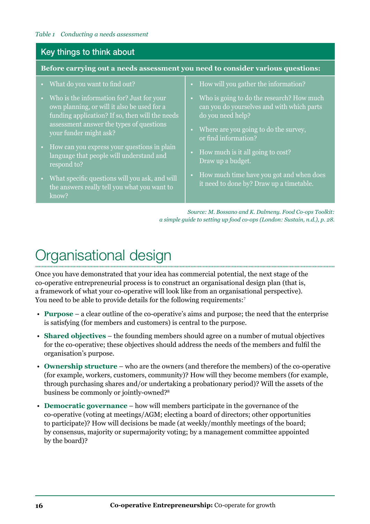#### <span id="page-23-0"></span>Key things to think about

#### **Before carrying out a needs assessment you need to consider various questions:**

• What do you want to find out? • Who is the information for? Just for your own planning, or will it also be used for a funding application? If so, then will the needs assessment answer the types of questions your funder might ask? • How can you express your questions in plain language that people will understand and respond to? • What specific questions will you ask, and will the answers really tell you what you want to • How will you gather the information? • Who is going to do the research? How much can you do yourselves and with which parts do you need help? • Where are you going to do the survey, or find information? • How much is it all going to cost? Draw up a budget. • How much time have you got and when does it need to done by? Draw up a timetable.

> *Source: M. Bossano and K. Dalmeny. Food Co-ops Toolkit: a simple guide to setting up food co-ops (London: Sustain, n.d.), p. 28.*

# Organisational design

know?

Once you have demonstrated that your idea has commercial potential, the next stage of the co-operative entrepreneurial process is to construct an organisational design plan (that is, a framework of what your co-operative will look like from an organisational perspective). You need to be able to provide details for the following requirements:<sup>7</sup>

- • **Purpose** a clear outline of the co-operative's aims and purpose; the need that the enterprise is satisfying (for members and customers) is central to the purpose.
- **Shared objectives** the founding members should agree on a number of mutual objectives for the co-operative; these objectives should address the needs of the members and fulfil the organisation's purpose.
- • **Ownership structure** who are the owners (and therefore the members) of the co-operative (for example, workers, customers, community)? How will they become members (for example, through purchasing shares and/or undertaking a probationary period)? Will the assets of the business be commonly or jointly-owned?8
- **Democratic governance** how will members participate in the governance of the co-operative (voting at meetings/AGM; electing a board of directors; other opportunities to participate)? How will decisions be made (at weekly/monthly meetings of the board; by consensus, majority or supermajority voting; by a management committee appointed by the board)?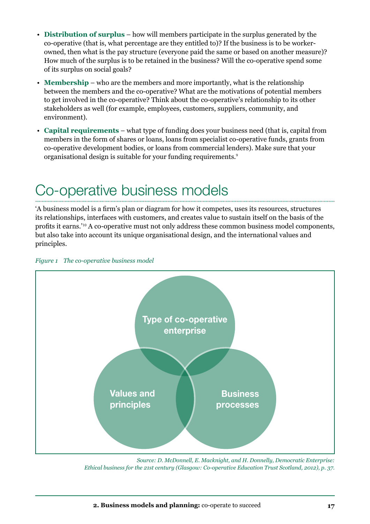- <span id="page-24-0"></span>• **Distribution of surplus** – how will members participate in the surplus generated by the co-operative (that is, what percentage are they entitled to)? If the business is to be workerowned, then what is the pay structure (everyone paid the same or based on another measure)? How much of the surplus is to be retained in the business? Will the co-operative spend some of its surplus on social goals?
- **Membership** who are the members and more importantly, what is the relationship between the members and the co-operative? What are the motivations of potential members to get involved in the co-operative? Think about the co-operative's relationship to its other stakeholders as well (for example, employees, customers, suppliers, community, and environment).
- **Capital requirements** what type of funding does your business need (that is, capital from members in the form of shares or loans, loans from specialist co-operative funds, grants from co-operative development bodies, or loans from commercial lenders). Make sure that your organisational design is suitable for your funding requirements.<sup>9</sup>

# Co-operative business models

'A business model is a firm's plan or diagram for how it competes, uses its resources, structures its relationships, interfaces with customers, and creates value to sustain itself on the basis of the profits it earns.'<sup>10</sup> A co-operative must not only address these common business model components, but also take into account its unique organisational design, and the international values and principles.





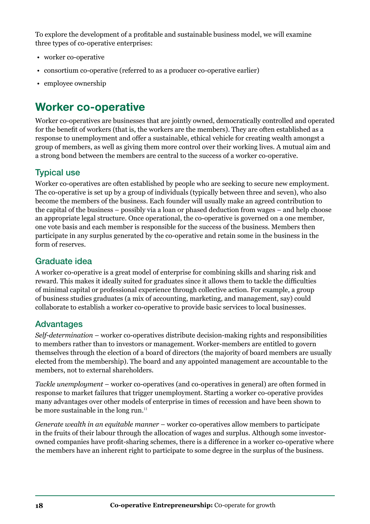To explore the development of a profitable and sustainable business model, we will examine three types of co-operative enterprises:

- • worker co-operative
- consortium co-operative (referred to as a producer co-operative earlier)
- employee ownership

## **Worker co-operative**

Worker co-operatives are businesses that are jointly owned, democratically controlled and operated for the benefit of workers (that is, the workers are the members). They are often established as a response to unemployment and offer a sustainable, ethical vehicle for creating wealth amongst a group of members, as well as giving them more control over their working lives. A mutual aim and a strong bond between the members are central to the success of a worker co-operative.

### Typical use

Worker co-operatives are often established by people who are seeking to secure new employment. The co-operative is set up by a group of individuals (typically between three and seven), who also become the members of the business. Each founder will usually make an agreed contribution to the capital of the business – possibly via a loan or phased deduction from wages – and help choose an appropriate legal structure. Once operational, the co-operative is governed on a one member, one vote basis and each member is responsible for the success of the business. Members then participate in any surplus generated by the co-operative and retain some in the business in the form of reserves.

### Graduate idea

A worker co-operative is a great model of enterprise for combining skills and sharing risk and reward. This makes it ideally suited for graduates since it allows them to tackle the difficulties of minimal capital or professional experience through collective action. For example, a group of business studies graduates (a mix of accounting, marketing, and management, say) could collaborate to establish a worker co-operative to provide basic services to local businesses.

### **Advantages**

*Self-determination* – worker co-operatives distribute decision-making rights and responsibilities to members rather than to investors or management. Worker-members are entitled to govern themselves through the election of a board of directors (the majority of board members are usually elected from the membership). The board and any appointed management are accountable to the members, not to external shareholders.

*Tackle unemployment* – worker co-operatives (and co-operatives in general) are often formed in response to market failures that trigger unemployment. Starting a worker co-operative provides many advantages over other models of enterprise in times of recession and have been shown to be more sustainable in the long run.<sup>11</sup>

*Generate wealth in an equitable manner* – worker co-operatives allow members to participate in the fruits of their labour through the allocation of wages and surplus. Although some investorowned companies have profit-sharing schemes, there is a difference in a worker co-operative where the members have an inherent right to participate to some degree in the surplus of the business.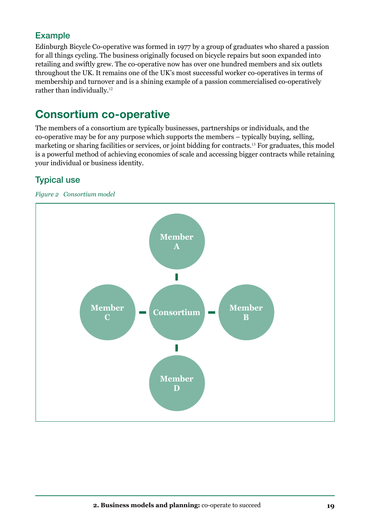### <span id="page-26-0"></span>Example

Edinburgh Bicycle Co-operative was formed in 1977 by a group of graduates who shared a passion for all things cycling. The business originally focused on bicycle repairs but soon expanded into retailing and swiftly grew. The co-operative now has over one hundred members and six outlets throughout the UK. It remains one of the UK's most successful worker co-operatives in terms of membership and turnover and is a shining example of a passion commercialised co-operatively rather than individually.<sup>12</sup>

# **Consortium co-operative**

The members of a consortium are typically businesses, partnerships or individuals, and the co-operative may be for any purpose which supports the members – typically buying, selling, marketing or sharing facilities or services, or joint bidding for contracts.<sup>13</sup> For graduates, this model is a powerful method of achieving economies of scale and accessing bigger contracts while retaining your individual or business identity.

### Typical use

*Figure 2 Consortium model*

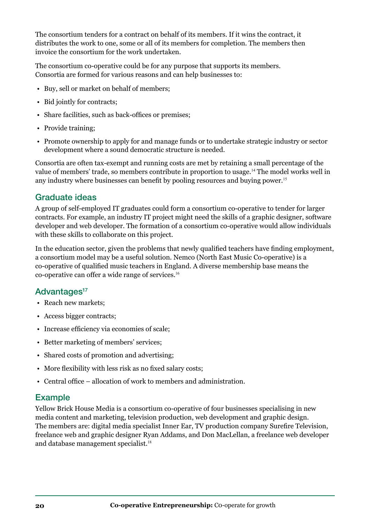The consortium tenders for a contract on behalf of its members. If it wins the contract, it distributes the work to one, some or all of its members for completion. The members then invoice the consortium for the work undertaken.

The consortium co-operative could be for any purpose that supports its members. Consortia are formed for various reasons and can help businesses to:

- Buy, sell or market on behalf of members;
- Bid jointly for contracts:
- Share facilities, such as back-offices or premises:
- Provide training;
- Promote ownership to apply for and manage funds or to undertake strategic industry or sector development where a sound democratic structure is needed.

Consortia are often tax-exempt and running costs are met by retaining a small percentage of the value of members' trade, so members contribute in proportion to usage.<sup>14</sup> The model works well in any industry where businesses can benefit by pooling resources and buying power.<sup>15</sup>

#### Graduate ideas

A group of self-employed IT graduates could form a consortium co-operative to tender for larger contracts. For example, an industry IT project might need the skills of a graphic designer, software developer and web developer. The formation of a consortium co-operative would allow individuals with these skills to collaborate on this project.

In the education sector, given the problems that newly qualified teachers have finding employment, a consortium model may be a useful solution. Nemco (North East Music Co-operative) is a co-operative of qualified music teachers in England. A diverse membership base means the co-operative can offer a wide range of services.<sup>16</sup>

#### Advantages<sup>17</sup>

- Reach new markets;
- Access bigger contracts;
- Increase efficiency via economies of scale;
- Better marketing of members' services;
- Shared costs of promotion and advertising;
- More flexibility with less risk as no fixed salary costs;
- Central office allocation of work to members and administration.

#### Example

Yellow Brick House Media is a consortium co-operative of four businesses specialising in new media content and marketing, television production, web development and graphic design. The members are: digital media specialist Inner Ear, TV production company Surefire Television, freelance web and graphic designer Ryan Addams, and Don MacLellan, a freelance web developer and database management specialist.18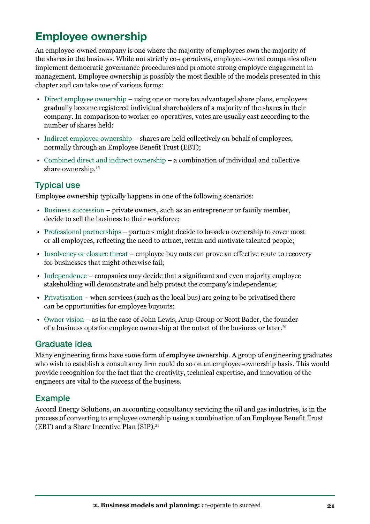## **Employee ownership**

An employee-owned company is one where the majority of employees own the majority of the shares in the business. While not strictly co-operatives, employee-owned companies often implement democratic governance procedures and promote strong employee engagement in management. Employee ownership is possibly the most flexible of the models presented in this chapter and can take one of various forms:

- Direct employee ownership using one or more tax advantaged share plans, employees gradually become registered individual shareholders of a majority of the shares in their company. In comparison to worker co-operatives, votes are usually cast according to the number of shares held;
- Indirect employee ownership shares are held collectively on behalf of employees, normally through an Employee Benefit Trust (EBT);
- Combined direct and indirect ownership a combination of individual and collective share ownership.<sup>19</sup>

### Typical use

Employee ownership typically happens in one of the following scenarios:

- • Business succession private owners, such as an entrepreneur or family member, decide to sell the business to their workforce;
- Professional partnerships partners might decide to broaden ownership to cover most or all employees, reflecting the need to attract, retain and motivate talented people;
- Insolvency or closure threat employee buy outs can prove an effective route to recovery for businesses that might otherwise fail;
- $\bullet$  Independence companies may decide that a significant and even majority employee stakeholding will demonstrate and help protect the company's independence;
- Privatisation when services (such as the local bus) are going to be privatised there can be opportunities for employee buyouts;
- • Owner vision as in the case of John Lewis, Arup Group or Scott Bader, the founder of a business opts for employee ownership at the outset of the business or later.<sup>20</sup>

### Graduate idea

Many engineering firms have some form of employee ownership. A group of engineering graduates who wish to establish a consultancy firm could do so on an employee-ownership basis. This would provide recognition for the fact that the creativity, technical expertise, and innovation of the engineers are vital to the success of the business.

### Example

Accord Energy Solutions, an accounting consultancy servicing the oil and gas industries, is in the process of converting to employee ownership using a combination of an Employee Benefit Trust (EBT) and a Share Incentive Plan (SIP).21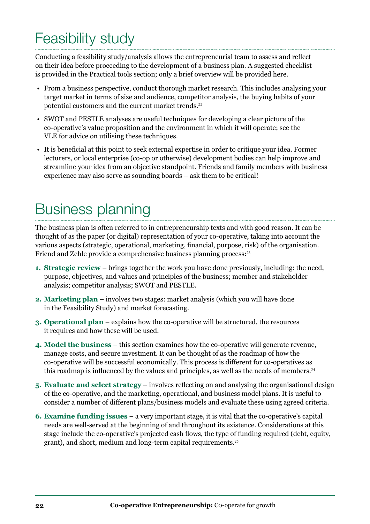# Feasibility study

Conducting a feasibility study/analysis allows the entrepreneurial team to assess and reflect on their idea before proceeding to the development of a business plan. A suggested checklist is provided in the Practical tools section; only a brief overview will be provided here.

- From a business perspective, conduct thorough market research. This includes analysing your target market in terms of size and audience, competitor analysis, the buying habits of your potential customers and the current market trends.<sup>22</sup>
- SWOT and PESTLE analyses are useful techniques for developing a clear picture of the co-operative's value proposition and the environment in which it will operate; see the VLE for advice on utilising these techniques.
- • It is beneficial at this point to seek external expertise in order to critique your idea. Former lecturers, or local enterprise (co-op or otherwise) development bodies can help improve and streamline your idea from an objective standpoint. Friends and family members with business experience may also serve as sounding boards – ask them to be critical!

# Business planning

The business plan is often referred to in entrepreneurship texts and with good reason. It can be thought of as the paper (or digital) representation of your co-operative, taking into account the various aspects (strategic, operational, marketing, financial, purpose, risk) of the organisation. Friend and Zehle provide a comprehensive business planning process:<sup>23</sup>

- **1. Strategic review** brings together the work you have done previously, including: the need, purpose, objectives, and values and principles of the business; member and stakeholder analysis; competitor analysis; SWOT and PESTLE.
- **2. Marketing plan** involves two stages: market analysis (which you will have done in the Feasibility Study) and market forecasting.
- **3. Operational plan** explains how the co-operative will be structured, the resources it requires and how these will be used.
- **4. Model the business** this section examines how the co-operative will generate revenue, manage costs, and secure investment. It can be thought of as the roadmap of how the co-operative will be successful economically. This process is different for co-operatives as this roadmap is influenced by the values and principles, as well as the needs of members.<sup>24</sup>
- **5. Evaluate and select strategy** involves reflecting on and analysing the organisational design of the co-operative, and the marketing, operational, and business model plans. It is useful to consider a number of different plans/business models and evaluate these using agreed criteria.
- **6. Examine funding issues** a very important stage, it is vital that the co-operative's capital needs are well-served at the beginning of and throughout its existence. Considerations at this stage include the co-operative's projected cash flows, the type of funding required (debt, equity, grant), and short, medium and long-term capital requirements.25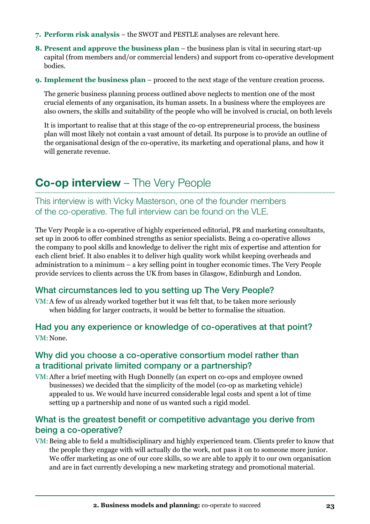- **7. Perform risk analysis** the SWOT and PESTLE analyses are relevant here.
- **8. Present and approve the business plan** the business plan is vital in securing start-up capital (from members and/or commercial lenders) and support from co-operative development bodies.
- **9. Implement the business plan** proceed to the next stage of the venture creation process.

The generic business planning process outlined above neglects to mention one of the most crucial elements of any organisation, its human assets. In a business where the employees are also owners, the skills and suitability of the people who will be involved is crucial, on both levels

It is important to realise that at this stage of the co-op entrepreneurial process, the business plan will most likely not contain a vast amount of detail. Its purpose is to provide an outline of the organisational design of the co-operative, its marketing and operational plans, and how it will generate revenue.

# **Co-op interview** – The Very People

This interview is with Vicky Masterson, one of the founder members of the co-operative. The full interview can be found on the VLE.

The Very People is a co-operative of highly experienced editorial, PR and marketing consultants, set up in 2006 to offer combined strengths as senior specialists. Being a co-operative allows the company to pool skills and knowledge to deliver the right mix of expertise and attention for each client brief. It also enables it to deliver high quality work whilst keeping overheads and administration to a minimum – a key selling point in tougher economic times. The Very People provide services to clients across the UK from bases in Glasgow, Edinburgh and London.

### What circumstances led to you setting up The Very People?

VM: A few of us already worked together but it was felt that, to be taken more seriously when bidding for larger contracts, it would be better to formalise the situation.

### Had you any experience or knowledge of co-operatives at that point? VM: None.

#### Why did you choose a co-operative consortium model rather than a traditional private limited company or a partnership?

VM: After a brief meeting with Hugh Donnelly (an expert on co-ops and employee owned businesses) we decided that the simplicity of the model (co-op as marketing vehicle) appealed to us. We would have incurred considerable legal costs and spent a lot of time setting up a partnership and none of us wanted such a rigid model.

#### What is the greatest benefit or competitive advantage you derive from being a co-operative?

VM: Being able to field a multidisciplinary and highly experienced team. Clients prefer to know that the people they engage with will actually do the work, not pass it on to someone more junior. We offer marketing as one of our core skills, so we are able to apply it to our own organisation and are in fact currently developing a new marketing strategy and promotional material.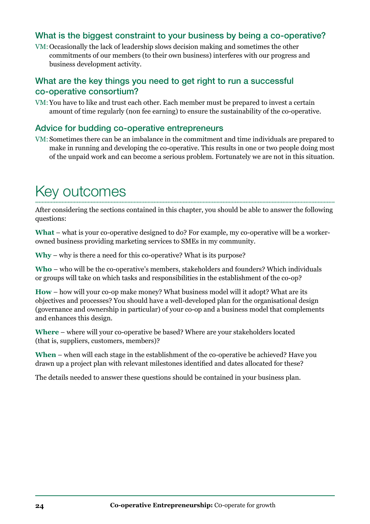#### What is the biggest constraint to your business by being a co-operative?

VM: Occasionally the lack of leadership slows decision making and sometimes the other commitments of our members (to their own business) interferes with our progress and business development activity.

#### What are the key things you need to get right to run a successful co-operative consortium?

VM: You have to like and trust each other. Each member must be prepared to invest a certain amount of time regularly (non fee earning) to ensure the sustainability of the co-operative.

#### Advice for budding co-operative entrepreneurs

VM: Sometimes there can be an imbalance in the commitment and time individuals are prepared to make in running and developing the co-operative. This results in one or two people doing most of the unpaid work and can become a serious problem. Fortunately we are not in this situation.

# Key outcomes

After considering the sections contained in this chapter, you should be able to answer the following questions:

**What** – what is your co-operative designed to do? For example, my co-operative will be a workerowned business providing marketing services to SMEs in my community.

**Why** – why is there a need for this co-operative? What is its purpose?

**Who** – who will be the co-operative's members, stakeholders and founders? Which individuals or groups will take on which tasks and responsibilities in the establishment of the co-op?

**How** – how will your co-op make money? What business model will it adopt? What are its objectives and processes? You should have a well-developed plan for the organisational design (governance and ownership in particular) of your co-op and a business model that complements and enhances this design.

**Where** – where will your co-operative be based? Where are your stakeholders located (that is, suppliers, customers, members)?

**When** – when will each stage in the establishment of the co-operative be achieved? Have you drawn up a project plan with relevant milestones identified and dates allocated for these?

The details needed to answer these questions should be contained in your business plan.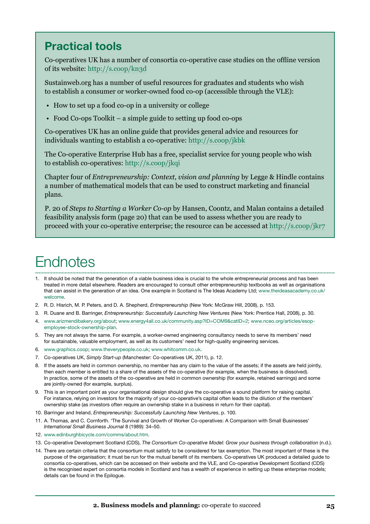## **Practical tools**

Co-operatives UK has a number of consortia co-operative case studies on the offline version of its website:<http://s.coop/kn3d>

Sustainweb.org has a number of useful resources for graduates and students who wish to establish a consumer or worker-owned food co-op (accessible through the VLE):

- How to set up a food co-op in a university or college
- Food Co-ops Toolkit a simple guide to setting up food co-ops

Co-operatives UK has an online guide that provides general advice and resources for individuals wanting to establish a co-operative:<http://s.coop/jkbk>

The Co-operative Enterprise Hub has a free, specialist service for young people who wish to establish co-operatives:<http://s.coop/jkqi>

Chapter four of *Entrepreneurship: Context, vision and planning* by Legge & Hindle contains a number of mathematical models that can be used to construct marketing and financial plans.

P. 20 of *Steps to Starting a Worker Co-op* by Hansen, Coontz, and Malan contains a detailed feasibility analysis form (page 20) that can be used to assess whether you are ready to proceed with your co-operative enterprise; the resource can be accessed at <http://s.coop/jkr7>

# **Endnotes**

- 1. It should be noted that the generation of a viable business idea is crucial to the whole entrepreneurial process and has been treated in more detail elsewhere. Readers are encouraged to consult other entrepreneurship textbooks as well as organisations that can assist in the generation of an idea. One example in Scotland is The Ideas Academy Ltd; [www.theideasacademy.co.uk/](http://www.theideasacademy.co.uk/welcome) [welcome](http://www.theideasacademy.co.uk/welcome).
- 2. R. D. Hisrich, M. P. Peters, and D. A. Shepherd, *Entrepreneurship* (New York: McGraw Hill, 2008), p. 153.
- 3. R. Duane and B. Barringer, *Entrepreneurship: Successfully Launching New Ventures* (New York: Prentice Hall, 2008), p. 30.
- 4. [www.arizmendibakery.org/about](http://www.arizmendibakery.org/about); [www.energy4all.co.uk/community.asp?ID=COM9&catID=2](http://www.energy4all.co.uk/community.asp?ID=COM9&catID=2); [www.nceo.org/articles/esop](http://www.nceo.org/articles/esop-employee-stock-ownership-plan)[employee-stock-ownership-plan.](http://www.nceo.org/articles/esop-employee-stock-ownership-plan)
- 5. They are not always the same. For example, a worker-owned engineering consultancy needs to serve its members' need for sustainable, valuable employment, as well as its customers' need for high-quality engineering services.
- 6. [www.graphics.coop](http://www.graphics.coop); [www.theverypeople.co.uk](http://www.theverypeople.co.uk); [www.whitcomm.co.uk.](http://www.whitcomm.co.uk)
- 7. Co-operatives UK, *Simply Start-up* (Manchester: Co-operatives UK, 2011), p. 12.
- 8. If the assets are held in common ownership, no member has any claim to the value of the assets; if the assets are held jointly, then each member is entitled to a share of the assets of the co-operative (for example, when the business is dissolved). In practice, some of the assets of the co-operative are held in common ownership (for example, retained earnings) and some are jointly-owned (for example, surplus).
- 9. This is an important point as your organisational design should give the co-operative a sound platform for raising capital. For instance, relying on investors for the majority of your co-operative's capital often leads to the dilution of the members' ownership stake (as investors often require an ownership stake in a business in return for their capital).
- 10. Barringer and Ireland, *Entrepreneurship: Successfully Launching New Ventures*, p. 100.
- 11. A. Thomas, and C. Cornforth. 'The Survival and Growth of Worker Co-operatives: A Comparison with Small Businesses' *International Small Business Journal* 8 (1989): 34–50.
- 12. [www.edinburghbicycle.com/comms/about.htm](http://www.edinburghbicycle.com/comms/about.htm).
- 13. Co-operative Development Scotland (CDS), *The Consortium Co-operative Model: Grow your business through collaboration* (n.d.).
- 14. There are certain criteria that the consortium must satisfy to be considered for tax exemption. The most important of these is the purpose of the organisation; it must be run for the mutual benefit of its members. Co-operatives UK produced a detailed guide to consortia co-operatives, which can be accessed on their website and the VLE, and Co-operative Development Scotland (CDS) is the recognised expert on consortia models in Scotland and has a wealth of experience in setting up these enterprise models; details can be found in the Epilogue.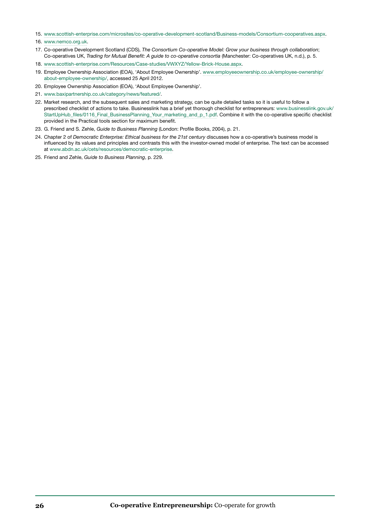- 15. [www.scottish-enterprise.com/microsites/co-operative-development-scotland/Business-models/Consortium-cooperatives.aspx.](http://www.scottish-enterprise.com/microsites/co-operative-development-scotland/Business-models/Consortium-cooperatives.aspx)
- 16. [www.nemco.org.uk.](http://www.nemco.org.uk)
- 17. Co-operative Development Scotland (CDS), *The Consortium Co-operative Model: Grow your business through collaboration*; Co-operatives UK, *Trading for Mutual Benefit: A guide to co-operative consortia* (Manchester: Co-operatives UK, n.d.), p. 5.
- 18. [www.scottish-enterprise.com/Resources/Case-studies/VWXYZ/Yellow-Brick-House.aspx.](http://www.scottish-enterprise.com/Resources/Case-studies/VWXYZ/Yellow-Brick-House.aspx)
- 19. Employee Ownership Association (EOA), 'About Employee Ownership'. [www.employeeownership.co.uk/employee-ownership/](http://www.employeeownership.co.uk/employee-ownership/about-employee-ownership/) [about-employee-ownership/](http://www.employeeownership.co.uk/employee-ownership/about-employee-ownership/), accessed 25 April 2012.
- 20. Employee Ownership Association (EOA), 'About Employee Ownership'.
- 21. [www.baxipartnership.co.uk/category/news/featured/.](http://www.baxipartnership.co.uk/category/news/featured/)
- 22. Market research, and the subsequent sales and marketing strategy, can be quite detailed tasks so it is useful to follow a prescribed checklist of actions to take. Businesslink has a brief yet thorough checklist for entrepreneurs: [www.businesslink.gov.uk/](http://www.businesslink.gov.uk/StartUpHub_files/0116_Final_BusinessPlanning_Your_marketing_and_p_1.pdf) [StartUpHub\\_files/0116\\_Final\\_BusinessPlanning\\_Your\\_marketing\\_and\\_p\\_1.pdf.](http://www.businesslink.gov.uk/StartUpHub_files/0116_Final_BusinessPlanning_Your_marketing_and_p_1.pdf) Combine it with the co-operative specific checklist provided in the Practical tools section for maximum benefit.
- 23. G. Friend and S. Zehle, *Guide to Business Planning* (London: Profile Books, 2004), p. 21.
- 24. Chapter 2 of *Democratic Enterprise: Ethical business for the 21st century* discusses how a co-operative's business model is influenced by its values and principles and contrasts this with the investor-owned model of enterprise. The text can be accessed at [www.abdn.ac.uk/cets/resources/democratic-enterprise.](http://www.abdn.ac.uk/cets/resources/democratic-enterprise)
- 25. Friend and Zehle, *Guide to Business Planning*, p. 229.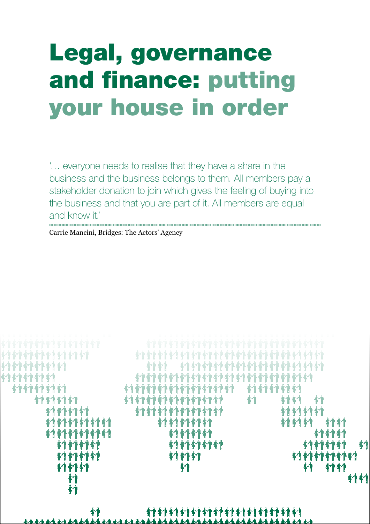# <span id="page-34-0"></span>Legal, governance and finance: putting your house in order

'… everyone needs to realise that they have a share in the business and the business belongs to them. All members pay a stakeholder donation to join which gives the feeling of buying into the business and that you are part of it. All members are equal and know it.'

Carrie Mancini, Bridges: The Actors' Agency

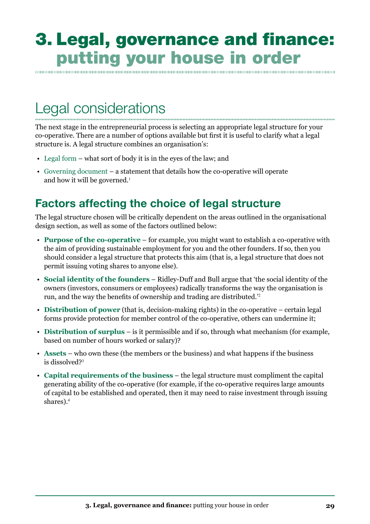# 3. Legal, governance and finance: putting your house in order

Legal considerations

The next stage in the entrepreneurial process is selecting an appropriate legal structure for your co-operative. There are a number of options available but first it is useful to clarify what a legal structure is. A legal structure combines an organisation's:

- Legal form  $-$  what sort of body it is in the eyes of the law; and
- • Governing document a statement that details how the co-operative will operate and how it will be governed.<sup>1</sup>

# **Factors affecting the choice of legal structure**

The legal structure chosen will be critically dependent on the areas outlined in the organisational design section, as well as some of the factors outlined below:

- • **Purpose of the co-operative** for example, you might want to establish a co-operative with the aim of providing sustainable employment for you and the other founders. If so, then you should consider a legal structure that protects this aim (that is, a legal structure that does not permit issuing voting shares to anyone else).
- • **Social identity of the founders** Ridley-Duff and Bull argue that 'the social identity of the owners (investors, consumers or employees) radically transforms the way the organisation is run, and the way the benefits of ownership and trading are distributed.'<sup>2</sup>
- **Distribution of power** (that is, decision-making rights) in the co-operative certain legal forms provide protection for member control of the co-operative, others can undermine it;
- **Distribution of surplus** is it permissible and if so, through what mechanism (for example, based on number of hours worked or salary)?
- **Assets** who own these (the members or the business) and what happens if the business is dissolved?<sup>3</sup>
- • **Capital requirements of the business** the legal structure must compliment the capital generating ability of the co-operative (for example, if the co-operative requires large amounts of capital to be established and operated, then it may need to raise investment through issuing shares).4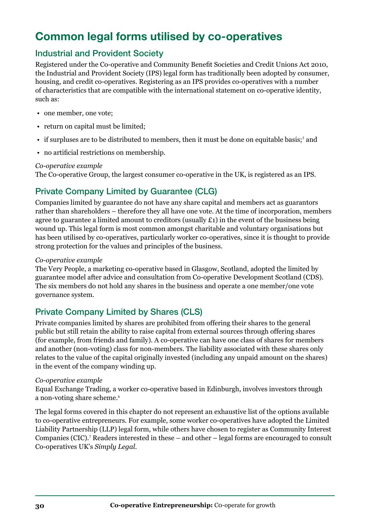# **Common legal forms utilised by co-operatives**

### Industrial and Provident Society

Registered under the Co-operative and Community Benefit Societies and Credit Unions Act 2010, the Industrial and Provident Society (IPS) legal form has traditionally been adopted by consumer, housing, and credit co-operatives. Registering as an IPS provides co-operatives with a number of characteristics that are compatible with the international statement on co-operative identity, such as:

- one member, one vote;
- return on capital must be limited;
- if surpluses are to be distributed to members, then it must be done on equitable basis;<sup>5</sup> and
- no artificial restrictions on membership.

#### *Co-operative example*

The Co-operative Group, the largest consumer co-operative in the UK, is registered as an IPS.

### Private Company Limited by Guarantee (CLG)

Companies limited by guarantee do not have any share capital and members act as guarantors rather than shareholders – therefore they all have one vote. At the time of incorporation, members agree to guarantee a limited amount to creditors (usually  $\epsilon_1$ ) in the event of the business being wound up. This legal form is most common amongst charitable and voluntary organisations but has been utilised by co-operatives, particularly worker co-operatives, since it is thought to provide strong protection for the values and principles of the business.

#### *Co-operative example*

The Very People, a marketing co-operative based in Glasgow, Scotland, adopted the limited by guarantee model after advice and consultation from Co-operative Development Scotland (CDS). The six members do not hold any shares in the business and operate a one member/one vote governance system.

### Private Company Limited by Shares (CLS)

Private companies limited by shares are prohibited from offering their shares to the general public but still retain the ability to raise capital from external sources through offering shares (for example, from friends and family). A co-operative can have one class of shares for members and another (non-voting) class for non-members. The liability associated with these shares only relates to the value of the capital originally invested (including any unpaid amount on the shares) in the event of the company winding up.

#### *Co-operative example*

Equal Exchange Trading, a worker co-operative based in Edinburgh, involves investors through a non-voting share scheme.<sup>6</sup>

The legal forms covered in this chapter do not represent an exhaustive list of the options available to co-operative entrepreneurs. For example, some worker co-operatives have adopted the Limited Liability Partnership (LLP) legal form, while others have chosen to register as Community Interest Companies (CIC).<sup>7</sup> Readers interested in these – and other – legal forms are encouraged to consult Co-operatives UK's *Simply Legal*.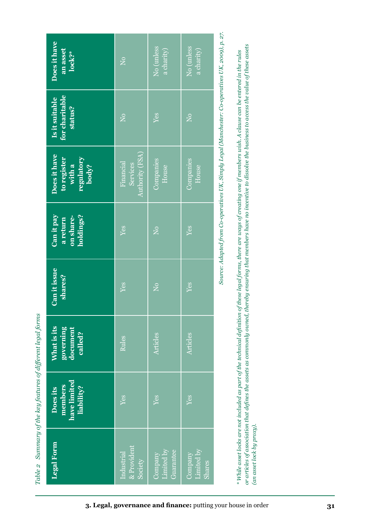<span id="page-38-0"></span>

| Does it have<br>an asset<br>lock?*                           | $\overline{\mathsf{X}}$                  | No (unless<br>a charity)           | No (unless<br>a charity)        |
|--------------------------------------------------------------|------------------------------------------|------------------------------------|---------------------------------|
| for charitable<br>Is it suitable<br>status?                  | $\overline{\mathsf{z}}$                  | Yes                                | $\overline{\mathsf{z}}$         |
| Does it have<br>to register<br>regulatory<br>body?<br>with a | Authority (FSA)<br>Financial<br>Services | <b>Companies</b><br>House          | Companies<br>House              |
| Can it pay<br>holdings?<br>on share-<br>a return             | Yes                                      | $\overline{\mathsf{X}}$            | Yes                             |
| Can it issue<br>shares?                                      | Yes                                      | $\overline{\mathsf{z}}$            | Yes                             |
| Vhat is its<br>governing<br>document<br>called?              | Rules                                    | Articles                           | Articles                        |
| members<br>have limited<br>liability?<br>Does its            | Yes                                      | Yes                                | Yes                             |
| <b>Legal Form</b>                                            | & Provident<br>Industrial<br>Society     | Limited by<br>Guarantee<br>Company | Limited by<br>Company<br>Shares |

Table 2 Summary of the key features of different legal forms *Table 2 Summary of the key features of different legal forms* Source: Adapted from Co-operatives UK, Simply Legal (Manchester: Co-operatives UK, 2009), p. 27. *Source: Adapted from Co-operatives UK, Simply Legal (Manchester: Co-operatives UK, 2009), p. 27.*

or articles of association that defines the assets as commonly owned, thereby ensuring that members have no incentive to dissolve the business to access the value of these assets *or articles of association that defines the assets as commonly owned, thereby ensuring that members have no incentive to dissolve the business to access the value of these assets*  $^*$  While asset locks are not included as part of the technical definition of these legal forms, there are ways of creating one if members wish. A clause can be entered in the rules *\* While asset locks are not included as part of the technical definition of these legal forms, there are ways of creating one if members wish. A clause can be entered in the rules* (an asset lock by proxy). *(an asset lock by proxy).*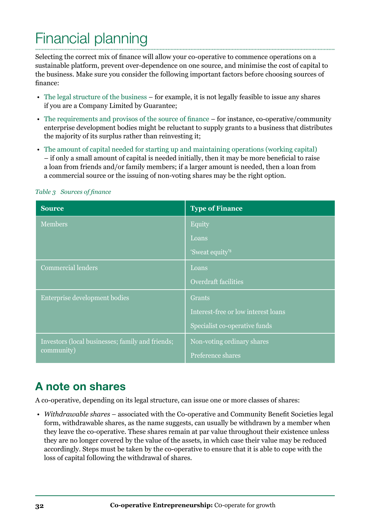# <span id="page-39-0"></span>Financial planning

Selecting the correct mix of finance will allow your co-operative to commence operations on a sustainable platform, prevent over-dependence on one source, and minimise the cost of capital to the business. Make sure you consider the following important factors before choosing sources of finance:

- The legal structure of the business for example, it is not legally feasible to issue any shares if you are a Company Limited by Guarantee;
- The requirements and provisos of the source of finance for instance, co-operative/community enterprise development bodies might be reluctant to supply grants to a business that distributes the majority of its surplus rather than reinvesting it;
- The amount of capital needed for starting up and maintaining operations (working capital) – if only a small amount of capital is needed initially, then it may be more beneficial to raise a loan from friends and/or family members; if a larger amount is needed, then a loan from a commercial source or the issuing of non-voting shares may be the right option.

| <b>Source</b>                                    | <b>Type of Finance</b>              |
|--------------------------------------------------|-------------------------------------|
| Members                                          | Equity                              |
|                                                  | Loans                               |
|                                                  | 'Sweat equity' <sup>8</sup>         |
| <b>Commercial lenders</b>                        | Loans                               |
|                                                  | <b>Overdraft facilities</b>         |
| Enterprise development bodies                    | Grants                              |
|                                                  | Interest-free or low interest loans |
|                                                  | Specialist co-operative funds       |
| Investors (local businesses; family and friends; | Non-voting ordinary shares          |
| community)                                       | Preference shares                   |

#### *Table 3 Sources of finance*

# **A note on shares**

A co-operative, depending on its legal structure, can issue one or more classes of shares:

• *Withdrawable shares* – associated with the Co-operative and Community Benefit Societies legal form, withdrawable shares, as the name suggests, can usually be withdrawn by a member when they leave the co-operative. These shares remain at par value throughout their existence unless they are no longer covered by the value of the assets, in which case their value may be reduced accordingly. Steps must be taken by the co-operative to ensure that it is able to cope with the loss of capital following the withdrawal of shares.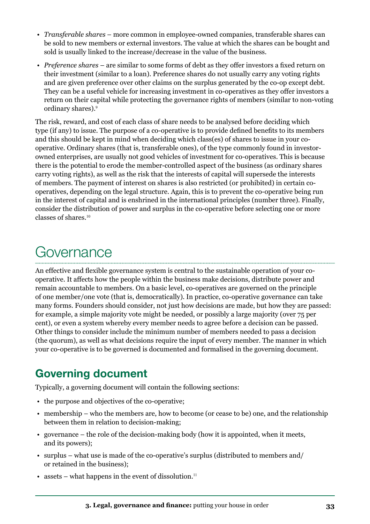- • *Transferable shares* more common in employee-owned companies, transferable shares can be sold to new members or external investors. The value at which the shares can be bought and sold is usually linked to the increase/decrease in the value of the business.
- • *Preference shares* are similar to some forms of debt as they offer investors a fixed return on their investment (similar to a loan). Preference shares do not usually carry any voting rights and are given preference over other claims on the surplus generated by the co-op except debt. They can be a useful vehicle for increasing investment in co-operatives as they offer investors a return on their capital while protecting the governance rights of members (similar to non-voting ordinary shares).<sup>9</sup>

The risk, reward, and cost of each class of share needs to be analysed before deciding which type (if any) to issue. The purpose of a co-operative is to provide defined benefits to its members and this should be kept in mind when deciding which class(es) of shares to issue in your cooperative. Ordinary shares (that is, transferable ones), of the type commonly found in investorowned enterprises, are usually not good vehicles of investment for co-operatives. This is because there is the potential to erode the member-controlled aspect of the business (as ordinary shares carry voting rights), as well as the risk that the interests of capital will supersede the interests of members. The payment of interest on shares is also restricted (or prohibited) in certain cooperatives, depending on the legal structure. Again, this is to prevent the co-operative being run in the interest of capital and is enshrined in the international principles (number three). Finally, consider the distribution of power and surplus in the co-operative before selecting one or more classes of shares.<sup>10</sup>

# **Governance**

An effective and flexible governance system is central to the sustainable operation of your cooperative. It affects how the people within the business make decisions, distribute power and remain accountable to members. On a basic level, co-operatives are governed on the principle of one member/one vote (that is, democratically). In practice, co-operative governance can take many forms. Founders should consider, not just how decisions are made, but how they are passed: for example, a simple majority vote might be needed, or possibly a large majority (over 75 per cent), or even a system whereby every member needs to agree before a decision can be passed. Other things to consider include the minimum number of members needed to pass a decision (the quorum), as well as what decisions require the input of every member. The manner in which your co-operative is to be governed is documented and formalised in the governing document.

# **Governing document**

Typically, a governing document will contain the following sections:

- the purpose and objectives of the co-operative;
- membership who the members are, how to become (or cease to be) one, and the relationship between them in relation to decision-making;
- governance  $-$  the role of the decision-making body (how it is appointed, when it meets, and its powers);
- • surplus what use is made of the co-operative's surplus (distributed to members and/ or retained in the business);
- assets what happens in the event of dissolution.<sup>11</sup>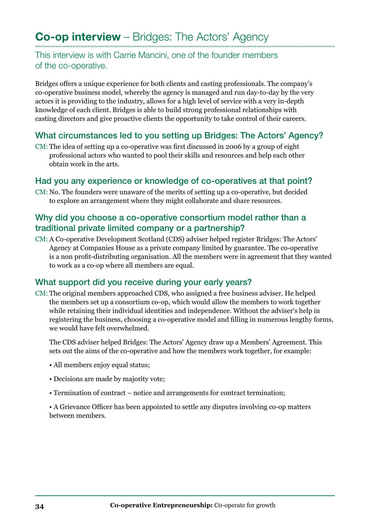## **Co-op interview** – Bridges: The Actors' Agency

#### This interview is with Carrie Mancini, one of the founder members of the co-operative.

Bridges offers a unique experience for both clients and casting professionals. The company's co-operative business model, whereby the agency is managed and run day-to-day by the very actors it is providing to the industry, allows for a high level of service with a very in-depth knowledge of each client. Bridges is able to build strong professional relationships with casting directors and give proactive clients the opportunity to take control of their careers.

#### What circumstances led to you setting up Bridges: The Actors' Agency?

CM: The idea of setting up a co-operative was first discussed in 2006 by a group of eight professional actors who wanted to pool their skills and resources and help each other obtain work in the arts.

#### Had you any experience or knowledge of co-operatives at that point?

CM: No. The founders were unaware of the merits of setting up a co-operative, but decided to explore an arrangement where they might collaborate and share resources.

#### Why did you choose a co-operative consortium model rather than a traditional private limited company or a partnership?

CM: A Co-operative Development Scotland (CDS) adviser helped register Bridges: The Actors' Agency at Companies House as a private company limited by guarantee. The co-operative is a non profit-distributing organisation. All the members were in agreement that they wanted to work as a co-op where all members are equal.

#### What support did you receive during your early years?

CM: The original members approached CDS, who assigned a free business adviser. He helped the members set up a consortium co-op, which would allow the members to work together while retaining their individual identities and independence. Without the adviser's help in registering the business, choosing a co-operative model and filling in numerous lengthy forms, we would have felt overwhelmed.

The CDS adviser helped Bridges: The Actors' Agency draw up a Members' Agreement. This sets out the aims of the co-operative and how the members work together, for example:

- All members enjoy equal status;
- Decisions are made by majority vote;
- Termination of contract notice and arrangements for contract termination;

 • A Grievance Officer has been appointed to settle any disputes involving co-op matters between members.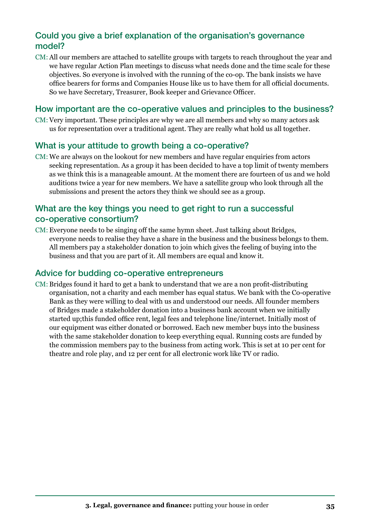### Could you give a brief explanation of the organisation's governance model?

CM: All our members are attached to satellite groups with targets to reach throughout the year and we have regular Action Plan meetings to discuss what needs done and the time scale for these objectives. So everyone is involved with the running of the co-op. The bank insists we have office bearers for forms and Companies House like us to have them for all official documents. So we have Secretary, Treasurer, Book keeper and Grievance Officer.

#### How important are the co-operative values and principles to the business?

CM: Very important. These principles are why we are all members and why so many actors ask us for representation over a traditional agent. They are really what hold us all together.

#### What is your attitude to growth being a co-operative?

CM: We are always on the lookout for new members and have regular enquiries from actors seeking representation. As a group it has been decided to have a top limit of twenty members as we think this is a manageable amount. At the moment there are fourteen of us and we hold auditions twice a year for new members. We have a satellite group who look through all the submissions and present the actors they think we should see as a group.

#### What are the key things you need to get right to run a successful co-operative consortium?

CM: Everyone needs to be singing off the same hymn sheet. Just talking about Bridges, everyone needs to realise they have a share in the business and the business belongs to them. All members pay a stakeholder donation to join which gives the feeling of buying into the business and that you are part of it. All members are equal and know it.

#### Advice for budding co-operative entrepreneurs

CM: Bridges found it hard to get a bank to understand that we are a non profit-distributing organisation, not a charity and each member has equal status. We bank with the Co-operative Bank as they were willing to deal with us and understood our needs. All founder members of Bridges made a stakeholder donation into a business bank account when we initially started up;this funded office rent, legal fees and telephone line/internet. Initially most of our equipment was either donated or borrowed. Each new member buys into the business with the same stakeholder donation to keep everything equal. Running costs are funded by the commission members pay to the business from acting work. This is set at 10 per cent for theatre and role play, and 12 per cent for all electronic work like TV or radio.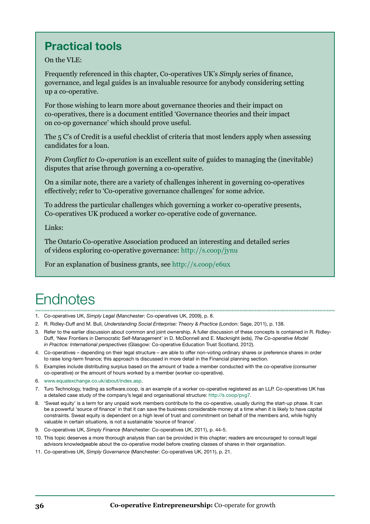# **Practical tools**

On the VLE:

Frequently referenced in this chapter, Co-operatives UK's *Simply* series of finance, governance, and legal guides is an invaluable resource for anybody considering setting up a co-operative.

For those wishing to learn more about governance theories and their impact on co-operatives, there is a document entitled 'Governance theories and their impact on co-op governance' which should prove useful.

The 5 C's of Credit is a useful checklist of criteria that most lenders apply when assessing candidates for a loan.

*From Conflict to Co-operation* is an excellent suite of guides to managing the (inevitable) disputes that arise through governing a co-operative.

On a similar note, there are a variety of challenges inherent in governing co-operatives effectively; refer to 'Co-operative governance challenges' for some advice.

To address the particular challenges which governing a worker co-operative presents, Co-operatives UK produced a worker co-operative code of governance.

Links:

The Ontario Co-operative Association produced an interesting and detailed series of videos exploring co-operative governance:<http://s.coop/jynu>

For an explanation of business grants, see<http://s.coop/e6ux>

# **Endnotes**

- 1. Co-operatives UK, *Simply Legal* (Manchester: Co-operatives UK, 2009), p. 8.
- 2. R. Ridley-Duff and M. Bull, *Understanding Social Enterprise: Theory & Practice* (London: Sage, 2011), p. 138.
- 3. Refer to the earlier discussion about common and joint ownership. A fuller discussion of these concepts is contained in R. Ridley-Duff, 'New Frontiers in Democratic Self-Management' in D. McDonnell and E. Macknight (eds), *The Co-operative Model in Practice: International perspectives* (Glasgow: Co-operative Education Trust Scotland, 2012).
- 4. Co-operatives depending on their legal structure are able to offer non-voting ordinary shares or preference shares in order to raise long-term finance; this approach is discussed in more detail in the Financial planning section.
- 5. Examples include distributing surplus based on the amount of trade a member conducted with the co-operative (consumer co-operative) or the amount of hours worked by a member (worker co-operative).
- 6. [www.equalexchange.co.uk/about/index.asp.](http:/www.equalexchange.co.uk/about/index.asp)
- 7. Turo Technology, trading as software.coop, is an example of a worker co-operative registered as an LLP. Co-operatives UK has a detailed case study of the company's legal and organisational structure: <http://s.coop/pvg7>.
- 8. 'Sweat equity' is a term for any unpaid work members contribute to the co-operative, usually during the start-up phase. It can be a powerful 'source of finance' in that it can save the business considerable money at a time when it is likely to have capital constraints. Sweat equity is dependent on a high level of trust and commitment on behalf of the members and, while highly valuable in certain situations, is not a sustainable 'source of finance'.
- 9. Co-operatives UK, *Simply Finance* (Manchester: Co-operatives UK, 2011), p. 44-5.
- 10. This topic deserves a more thorough analysis than can be provided in this chapter; readers are encouraged to consult legal advisors knowledgeable about the co-operative model before creating classes of shares in their organisation.
- 11. Co-operatives UK, *Simply Governance* (Manchester: Co-operatives UK, 2011), p. 21.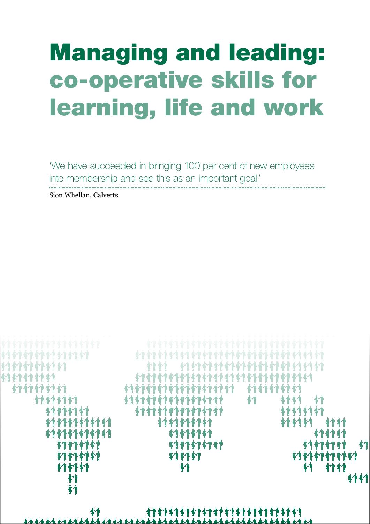# <span id="page-44-0"></span>Managing and leading: co-operative skills for learning, life and work

'We have succeeded in bringing 100 per cent of new employees into membership and see this as an important goal.'

Sion Whellan, Calverts

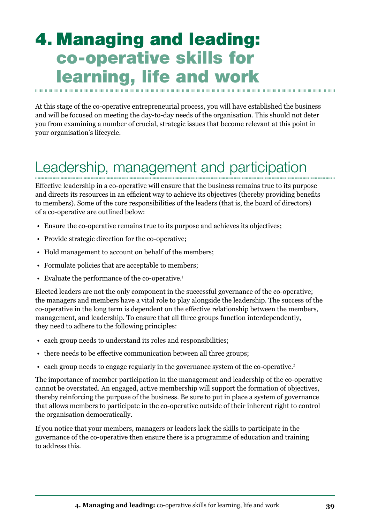# 4. Managing and leading: co-operative skills for learning, life and work

At this stage of the co-operative entrepreneurial process, you will have established the business and will be focused on meeting the day-to-day needs of the organisation. This should not deter you from examining a number of crucial, strategic issues that become relevant at this point in your organisation's lifecycle.

# Leadership, management and participation

Effective leadership in a co-operative will ensure that the business remains true to its purpose and directs its resources in an efficient way to achieve its objectives (thereby providing benefits to members). Some of the core responsibilities of the leaders (that is, the board of directors) of a co-operative are outlined below:

- • Ensure the co-operative remains true to its purpose and achieves its objectives;
- Provide strategic direction for the co-operative;
- Hold management to account on behalf of the members;
- Formulate policies that are acceptable to members;
- Evaluate the performance of the co-operative.<sup>1</sup>

Elected leaders are not the only component in the successful governance of the co-operative; the managers and members have a vital role to play alongside the leadership. The success of the co-operative in the long term is dependent on the effective relationship between the members, management, and leadership. To ensure that all three groups function interdependently, they need to adhere to the following principles:

- each group needs to understand its roles and responsibilities:
- there needs to be effective communication between all three groups;
- each group needs to engage regularly in the governance system of the co-operative.<sup>2</sup>

The importance of member participation in the management and leadership of the co-operative cannot be overstated. An engaged, active membership will support the formation of objectives, thereby reinforcing the purpose of the business. Be sure to put in place a system of governance that allows members to participate in the co-operative outside of their inherent right to control the organisation democratically.

If you notice that your members, managers or leaders lack the skills to participate in the governance of the co-operative then ensure there is a programme of education and training to address this.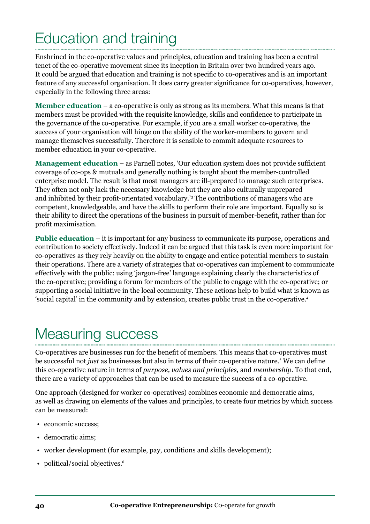# Education and training

Enshrined in the co-operative values and principles, education and training has been a central tenet of the co-operative movement since its inception in Britain over two hundred years ago. It could be argued that education and training is not specific to co-operatives and is an important feature of any successful organisation. It does carry greater significance for co-operatives, however, especially in the following three areas:

**Member education** – a co-operative is only as strong as its members. What this means is that members must be provided with the requisite knowledge, skills and confidence to participate in the governance of the co-operative. For example, if you are a small worker co-operative, the success of your organisation will hinge on the ability of the worker-members to govern and manage themselves successfully. Therefore it is sensible to commit adequate resources to member education in your co-operative.

**Management education** – as Parnell notes, 'Our education system does not provide sufficient coverage of co-ops & mutuals and generally nothing is taught about the member-controlled enterprise model. The result is that most managers are ill-prepared to manage such enterprises. They often not only lack the necessary knowledge but they are also culturally unprepared and inhibited by their profit-orientated vocabulary.'<sup>3</sup> The contributions of managers who are competent, knowledgeable, and have the skills to perform their role are important. Equally so is their ability to direct the operations of the business in pursuit of member-benefit, rather than for profit maximisation.

**Public education** – it is important for any business to communicate its purpose, operations and contribution to society effectively. Indeed it can be argued that this task is even more important for co-operatives as they rely heavily on the ability to engage and entice potential members to sustain their operations. There are a variety of strategies that co-operatives can implement to communicate effectively with the public: using 'jargon-free' language explaining clearly the characteristics of the co-operative; providing a forum for members of the public to engage with the co-operative; or supporting a social initiative in the local community. These actions help to build what is known as 'social capital' in the community and by extension, creates public trust in the co-operative.<sup>4</sup>

# Measuring success

Co-operatives are businesses run for the benefit of members. This means that co-operatives must be successful not *just* as businesses but also in terms of their co-operative nature.<sup>5</sup> We can define this co-operative nature in terms of *purpose, values and principles,* and *membership*. To that end, there are a variety of approaches that can be used to measure the success of a co-operative.

One approach (designed for worker co-operatives) combines economic and democratic aims, as well as drawing on elements of the values and principles, to create four metrics by which success can be measured:

- economic success;
- democratic aims;
- worker development (for example, pay, conditions and skills development);
- political/social objectives.<sup>6</sup>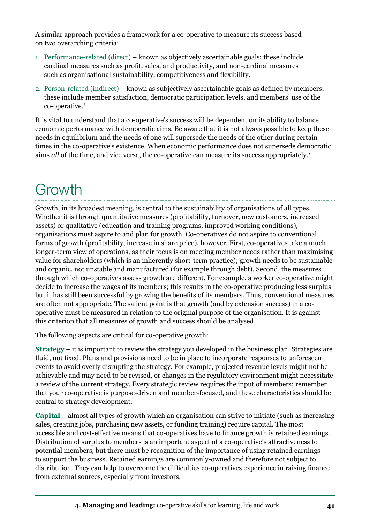A similar approach provides a framework for a co-operative to measure its success based on two overarching criteria:

- 1. Performance-related (direct) known as objectively ascertainable goals; these include cardinal measures such as profit, sales, and productivity, and non-cardinal measures such as organisational sustainability, competitiveness and flexibility.
- 2. Person-related (indirect) known as subjectively ascertainable goals as defined by members; these include member satisfaction, democratic participation levels, and members' use of the co-operative.<sup>7</sup>

It is vital to understand that a co-operative's success will be dependent on its ability to balance economic performance with democratic aims. Be aware that it is not always possible to keep these needs in equilibrium and the needs of one will supersede the needs of the other during certain times in the co-operative's existence. When economic performance does not supersede democratic aims *all* of the time, and vice versa, the co-operative can measure its success appropriately.<sup>8</sup>

# **Growth**

Growth, in its broadest meaning, is central to the sustainability of organisations of all types. Whether it is through quantitative measures (profitability, turnover, new customers, increased assets) or qualitative (education and training programs, improved working conditions), organisations must aspire to and plan for growth. Co-operatives do not aspire to conventional forms of growth (profitability, increase in share price), however. First, co-operatives take a much longer-term view of operations, as their focus is on meeting member needs rather than maximising value for shareholders (which is an inherently short-term practice); growth needs to be sustainable and organic, not unstable and manufactured (for example through debt). Second, the measures through which co-operatives assess growth are different. For example, a worker co-operative might decide to increase the wages of its members; this results in the co-operative producing less surplus but it has still been successful by growing the benefits of its members. Thus, conventional measures are often not appropriate. The salient point is that growth (and by extension success) in a cooperative must be measured in relation to the original purpose of the organisation. It is against this criterion that all measures of growth and success should be analysed.

The following aspects are critical for co-operative growth:

**Strategy** – it is important to review the strategy you developed in the business plan. Strategies are fluid, not fixed. Plans and provisions need to be in place to incorporate responses to unforeseen events to avoid overly disrupting the strategy. For example, projected revenue levels might not be achievable and may need to be revised, or changes in the regulatory environment might necessitate a review of the current strategy. Every strategic review requires the input of members; remember that your co-operative is purpose-driven and member-focused, and these characteristics should be central to strategy development.

**Capital** – almost all types of growth which an organisation can strive to initiate (such as increasing sales, creating jobs, purchasing new assets, or funding training) require capital. The most accessible and cost-effective means that co-operatives have to finance growth is retained earnings. Distribution of surplus to members is an important aspect of a co-operative's attractiveness to potential members, but there must be recognition of the importance of using retained earnings to support the business. Retained earnings are commonly-owned and therefore not subject to distribution. They can help to overcome the difficulties co-operatives experience in raising finance from external sources, especially from investors.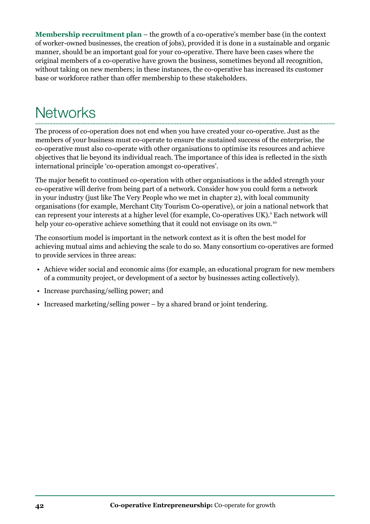**Membership recruitment plan** – the growth of a co-operative's member base (in the context of worker-owned businesses, the creation of jobs), provided it is done in a sustainable and organic manner, should be an important goal for your co-operative. There have been cases where the original members of a co-operative have grown the business, sometimes beyond all recognition, without taking on new members; in these instances, the co-operative has increased its customer base or workforce rather than offer membership to these stakeholders.

# **Networks**

The process of co-operation does not end when you have created your co-operative. Just as the members of your business must co-operate to ensure the sustained success of the enterprise, the co-operative must also co-operate with other organisations to optimise its resources and achieve objectives that lie beyond its individual reach. The importance of this idea is reflected in the sixth international principle 'co-operation amongst co-operatives'.

The major benefit to continued co-operation with other organisations is the added strength your co-operative will derive from being part of a network. Consider how you could form a network in your industry (just like The Very People who we met in chapter 2), with local community organisations (for example, Merchant City Tourism Co-operative), or join a national network that can represent your interests at a higher level (for example, Co-operatives UK).<sup>9</sup> Each network will help your co-operative achieve something that it could not envisage on its own.<sup>10</sup>

The consortium model is important in the network context as it is often the best model for achieving mutual aims and achieving the scale to do so. Many consortium co-operatives are formed to provide services in three areas:

- Achieve wider social and economic aims (for example, an educational program for new members of a community project, or development of a sector by businesses acting collectively).
- Increase purchasing/selling power; and
- Increased marketing/selling power by a shared brand or joint tendering.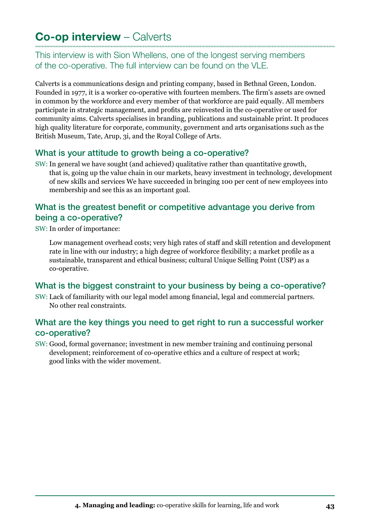## **Co-op interview** – Calverts

### This interview is with Sion Whellens, one of the longest serving members of the co-operative. The full interview can be found on the VLE.

Calverts is a communications design and printing company, based in Bethnal Green, London. Founded in 1977, it is a worker co-operative with fourteen members. The firm's assets are owned in common by the workforce and every member of that workforce are paid equally. All members participate in strategic management, and profits are reinvested in the co-operative or used for community aims. Calverts specialises in branding, publications and sustainable print. It produces high quality literature for corporate, community, government and arts organisations such as the British Museum, Tate, Arup, 3i, and the Royal College of Arts.

#### What is your attitude to growth being a co-operative?

SW: In general we have sought (and achieved) qualitative rather than quantitative growth, that is, going up the value chain in our markets, heavy investment in technology, development of new skills and services We have succeeded in bringing 100 per cent of new employees into membership and see this as an important goal.

### What is the greatest benefit or competitive advantage you derive from being a co-operative?

SW: In order of importance:

Low management overhead costs; very high rates of staff and skill retention and development rate in line with our industry; a high degree of workforce flexibility; a market profile as a sustainable, transparent and ethical business; cultural Unique Selling Point (USP) as a co-operative.

### What is the biggest constraint to your business by being a co-operative?

SW: Lack of familiarity with our legal model among financial, legal and commercial partners. No other real constraints.

#### What are the key things you need to get right to run a successful worker co-operative?

SW: Good, formal governance; investment in new member training and continuing personal development; reinforcement of co-operative ethics and a culture of respect at work; good links with the wider movement.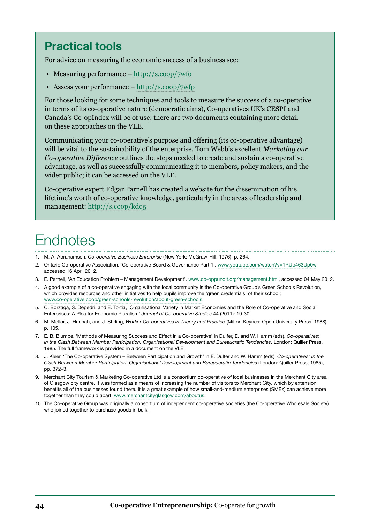### **Practical tools**

For advice on measuring the economic success of a business see:

- Measuring performance –<http://s.coop/7wfo>
- • Assess your performance <http://s.coop/7wfp>

For those looking for some techniques and tools to measure the success of a co-operative in terms of its co-operative nature (democratic aims), Co-operatives UK's CESPI and Canada's Co-opIndex will be of use; there are two documents containing more detail on these approaches on the VLE.

Communicating your co-operative's purpose and offering (its co-operative advantage) will be vital to the sustainability of the enterprise. Tom Webb's excellent *Marketing our Co-operative Difference* outlines the steps needed to create and sustain a co-operative advantage, as well as successfully communicating it to members, policy makers, and the wider public; it can be accessed on the VLE.

Co-operative expert Edgar Parnell has created a website for the dissemination of his lifetime's worth of co-operative knowledge, particularly in the areas of leadership and management:<http://s.coop/kdq5>

# **Endnotes**

- 1. M. A. Abrahamsen, *Co-operative Business Enterprise* (New York: McGraw-Hill, 1976), p. 264.
- 2. Ontario Co-operative Association, 'Co-operative Board & Governance Part 1'. [www.youtube.com/watch?v=1RUb463Up0w](http://www.youtube.com/watch?v=1RUb463Up0w), accessed 16 April 2012.
- 3. E. Parnell, 'An Education Problem Management Development'. [www.co-oppundit.org/management.html](http://www.co-oppundit.org/management.html), accessed 04 May 2012.
- 4. A good example of a co-operative engaging with the local community is the Co-operative Group's Green Schools Revolution, which provides resources and other initiatives to help pupils improve the 'green credentials' of their school; [www.co-operative.coop/green-schools-revolution/about-green-schools.](http://www.co-operative.coop/green-schools-revolution/about-green-schools)
- 5. C. Borzaga, S. Depedri, and E. Tortia, 'Organisational Variety in Market Economies and the Role of Co-operative and Social Enterprises: A Plea for Economic Pluralism' *Journal of Co-operative Studies* 44 (2011): 19-30.
- 6. M. Mellor, J. Hannah, and J. Stirling, *Worker Co-operatives in Theory and Practice* (Milton Keynes: Open University Press, 1988), p. 105.
- 7. E. B. Blumbe. 'Methods of Measuring Success and Effect in a Co-operative' in Dulfer, E. and W. Hamm (eds). *Co-operatives: In the Clash Between Member Participation, Organisational Development and Bureaucratic Tendencies*. London: Quiller Press, 1985. The full framework is provided in a document on the VLE.
- 8. J. Kleer, 'The Co-operative System Between Participation and Growth' in E. Dulfer and W. Hamm (eds), *Co-operatives: In the Clash Between Member Participation, Organisational Development and Bureaucratic Tendencies* (London: Quiller Press, 1985), pp. 372–3.
- 9. Merchant City Tourism & Marketing Co-operative Ltd is a consortium co-operative of local businesses in the Merchant City area of Glasgow city centre. It was formed as a means of increasing the number of visitors to Merchant City, which by extension benefits all of the businesses found there. It is a great example of how small-and-medium enterprises (SMEs) can achieve more together than they could apart: [www.merchantcityglasgow.com/aboutus.](http://www.merchantcityglasgow.com/aboutus)
- 10 The Co-operative Group was originally a consortium of independent co-operative societies (the Co-operative Wholesale Society) who joined together to purchase goods in bulk.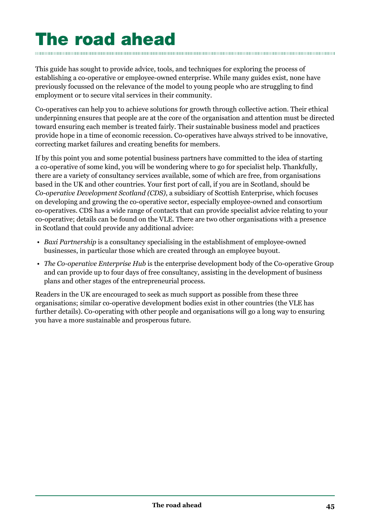## <span id="page-52-0"></span>The road ahead

This guide has sought to provide advice, tools, and techniques for exploring the process of establishing a co-operative or employee-owned enterprise. While many guides exist, none have previously focussed on the relevance of the model to young people who are struggling to find employment or to secure vital services in their community.

Co-operatives can help you to achieve solutions for growth through collective action. Their ethical underpinning ensures that people are at the core of the organisation and attention must be directed toward ensuring each member is treated fairly. Their sustainable business model and practices provide hope in a time of economic recession. Co-operatives have always strived to be innovative, correcting market failures and creating benefits for members.

If by this point you and some potential business partners have committed to the idea of starting a co-operative of some kind, you will be wondering where to go for specialist help. Thankfully, there are a variety of consultancy services available, some of which are free, from organisations based in the UK and other countries. Your first port of call, if you are in Scotland, should be *Co-operative Development Scotland (CDS)*, a subsidiary of Scottish Enterprise, which focuses on developing and growing the co-operative sector, especially employee-owned and consortium co-operatives. CDS has a wide range of contacts that can provide specialist advice relating to your co-operative; details can be found on the VLE. There are two other organisations with a presence in Scotland that could provide any additional advice:

- *Baxi Partnership* is a consultancy specialising in the establishment of employee-owned businesses, in particular those which are created through an employee buyout.
- • *The Co-operative Enterprise Hub* is the enterprise development body of the Co-operative Group and can provide up to four days of free consultancy, assisting in the development of business plans and other stages of the entrepreneurial process.

Readers in the UK are encouraged to seek as much support as possible from these three organisations; similar co-operative development bodies exist in other countries (the VLE has further details). Co-operating with other people and organisations will go a long way to ensuring you have a more sustainable and prosperous future.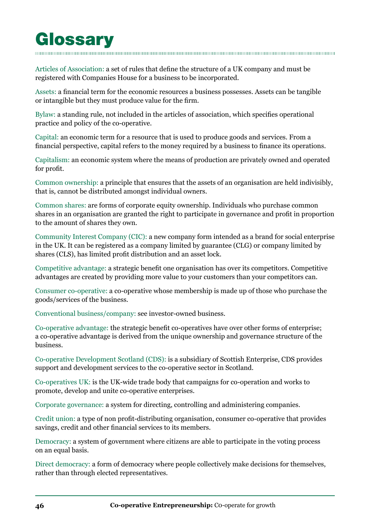<span id="page-53-0"></span>

Articles of Association: a set of rules that define the structure of a UK company and must be registered with Companies House for a business to be incorporated.

Assets: a financial term for the economic resources a business possesses. Assets can be tangible or intangible but they must produce value for the firm.

Bylaw: a standing rule, not included in the articles of association, which specifies operational practice and policy of the co-operative.

Capital: an economic term for a resource that is used to produce goods and services. From a financial perspective, capital refers to the money required by a business to finance its operations.

Capitalism: an economic system where the means of production are privately owned and operated for profit.

Common ownership: a principle that ensures that the assets of an organisation are held indivisibly, that is, cannot be distributed amongst individual owners.

Common shares: are forms of corporate equity ownership. Individuals who purchase common shares in an organisation are granted the right to participate in governance and profit in proportion to the amount of shares they own.

Community Interest Company (CIC): a new company form intended as a brand for social enterprise in the UK. It can be registered as a company limited by guarantee (CLG) or company limited by shares (CLS), has limited profit distribution and an asset lock.

Competitive advantage: a strategic benefit one organisation has over its competitors. Competitive advantages are created by providing more value to your customers than your competitors can.

Consumer co-operative: a co-operative whose membership is made up of those who purchase the goods/services of the business.

Conventional business/company: see investor-owned business.

Co-operative advantage: the strategic benefit co-operatives have over other forms of enterprise; a co-operative advantage is derived from the unique ownership and governance structure of the business.

Co-operative Development Scotland (CDS): is a subsidiary of Scottish Enterprise, CDS provides support and development services to the co-operative sector in Scotland.

Co-operatives UK: is the UK-wide trade body that campaigns for co-operation and works to promote, develop and unite co-operative enterprises.

Corporate governance: a system for directing, controlling and administering companies.

Credit union: a type of non profit-distributing organisation, consumer co-operative that provides savings, credit and other financial services to its members.

Democracy: a system of government where citizens are able to participate in the voting process on an equal basis.

Direct democracy: a form of democracy where people collectively make decisions for themselves, rather than through elected representatives.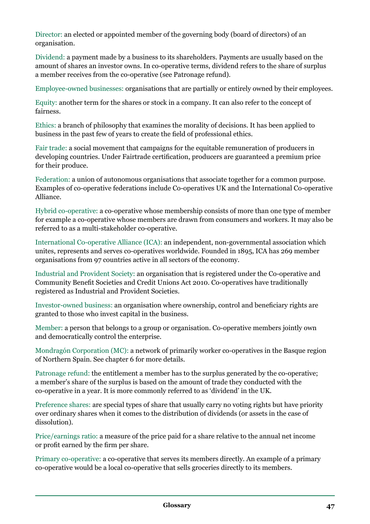Director: an elected or appointed member of the governing body (board of directors) of an organisation.

Dividend: a payment made by a business to its shareholders. Payments are usually based on the amount of shares an investor owns. In co-operative terms, dividend refers to the share of surplus a member receives from the co-operative (see Patronage refund).

Employee-owned businesses: organisations that are partially or entirely owned by their employees.

Equity: another term for the shares or stock in a company. It can also refer to the concept of fairness.

Ethics: a branch of philosophy that examines the morality of decisions. It has been applied to business in the past few of years to create the field of professional ethics.

Fair trade: a social movement that campaigns for the equitable remuneration of producers in developing countries. Under Fairtrade certification, producers are guaranteed a premium price for their produce.

Federation: a union of autonomous organisations that associate together for a common purpose. Examples of co-operative federations include Co-operatives UK and the International Co-operative Alliance.

Hybrid co-operative: a co-operative whose membership consists of more than one type of member for example a co-operative whose members are drawn from consumers and workers. It may also be referred to as a multi-stakeholder co-operative.

International Co-operative Alliance (ICA): an independent, non-governmental association which unites, represents and serves co-operatives worldwide. Founded in 1895, ICA has 269 member organisations from 97 countries active in all sectors of the economy.

Industrial and Provident Society: an organisation that is registered under the Co-operative and Community Benefit Societies and Credit Unions Act 2010. Co-operatives have traditionally registered as Industrial and Provident Societies.

Investor-owned business: an organisation where ownership, control and beneficiary rights are granted to those who invest capital in the business.

Member: a person that belongs to a group or organisation. Co-operative members jointly own and democratically control the enterprise.

Mondragón Corporation (MC): a network of primarily worker co-operatives in the Basque region of Northern Spain. See chapter 6 for more details.

Patronage refund: the entitlement a member has to the surplus generated by the co-operative; a member's share of the surplus is based on the amount of trade they conducted with the co-operative in a year. It is more commonly referred to as 'dividend' in the UK.

Preference shares: are special types of share that usually carry no voting rights but have priority over ordinary shares when it comes to the distribution of dividends (or assets in the case of dissolution).

Price/earnings ratio: a measure of the price paid for a share relative to the annual net income or profit earned by the firm per share.

Primary co-operative: a co-operative that serves its members directly. An example of a primary co-operative would be a local co-operative that sells groceries directly to its members.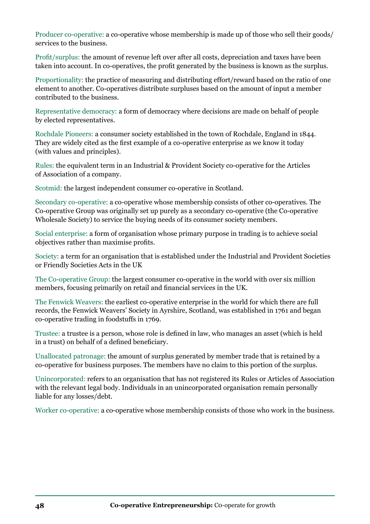Producer co-operative: a co-operative whose membership is made up of those who sell their goods/ services to the business.

Profit/surplus: the amount of revenue left over after all costs, depreciation and taxes have been taken into account. In co-operatives, the profit generated by the business is known as the surplus.

Proportionality: the practice of measuring and distributing effort/reward based on the ratio of one element to another. Co-operatives distribute surpluses based on the amount of input a member contributed to the business.

Representative democracy: a form of democracy where decisions are made on behalf of people by elected representatives.

Rochdale Pioneers: a consumer society established in the town of Rochdale, England in 1844. They are widely cited as the first example of a co-operative enterprise as we know it today (with values and principles).

Rules: the equivalent term in an Industrial & Provident Society co-operative for the Articles of Association of a company.

Scotmid: the largest independent consumer co-operative in Scotland.

Secondary co-operative: a co-operative whose membership consists of other co-operatives. The Co-operative Group was originally set up purely as a secondary co-operative (the Co-operative Wholesale Society) to service the buying needs of its consumer society members.

Social enterprise: a form of organisation whose primary purpose in trading is to achieve social objectives rather than maximise profits.

Society: a term for an organisation that is established under the Industrial and Provident Societies or Friendly Societies Acts in the UK

The Co-operative Group: the largest consumer co-operative in the world with over six million members, focusing primarily on retail and financial services in the UK.

The Fenwick Weavers: the earliest co-operative enterprise in the world for which there are full records, the Fenwick Weavers' Society in Ayrshire, Scotland, was established in 1761 and began co-operative trading in foodstuffs in 1769.

Trustee: a trustee is a person, whose role is defined in law, who manages an asset (which is held in a trust) on behalf of a defined beneficiary.

Unallocated patronage: the amount of surplus generated by member trade that is retained by a co-operative for business purposes. The members have no claim to this portion of the surplus.

Unincorporated: refers to an organisation that has not registered its Rules or Articles of Association with the relevant legal body. Individuals in an unincorporated organisation remain personally liable for any losses/debt.

Worker co-operative: a co-operative whose membership consists of those who work in the business.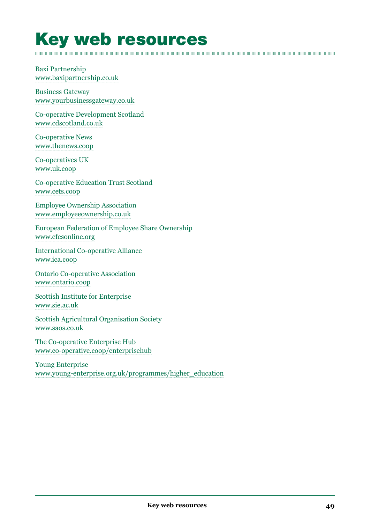### <span id="page-56-0"></span>Key web resources

Baxi Partnership [www.baxipartnership.co.uk](http://www.baxipartnership.co.uk)

Business Gateway [www.yourbusinessgateway.co.uk](http://www.yourbusinessgateway.co.uk)

Co-operative Development Scotland [www.cdscotland.co.uk](http://www.cdscotland.co.uk)

Co-operative News [www.thenews.coop](http://www.thenews.coop)

Co-operatives UK [www.uk.coop](http://www.uk.coop)

Co-operative Education Trust Scotland [www.cets.coop](http://www.cets.coop)

Employee Ownership Association [www.employeeownership.co.uk](http://www.employeeownership.co.uk)

European Federation of Employee Share Ownership [www.efesonline.org](http://www.efesonline.org)

International Co-operative Alliance [www.ica.coop](http://www.ica.coop)

Ontario Co-operative Association [www.ontario.coop](http://www.ontario.coop)

Scottish Institute for Enterprise [www.sie.ac.uk](http://www.sie.ac.uk)

Scottish Agricultural Organisation Society [www.saos.co.uk](http://www.saos.co.uk)

The Co-operative Enterprise Hub [www.co-operative.coop/enterprisehub](http://www.co-operative.coop/enterprisehub)

Young Enterprise [www.young-enterprise.org.uk/programmes/higher\\_education](http://www.young-enterprise.org.uk/programmes/higher_education)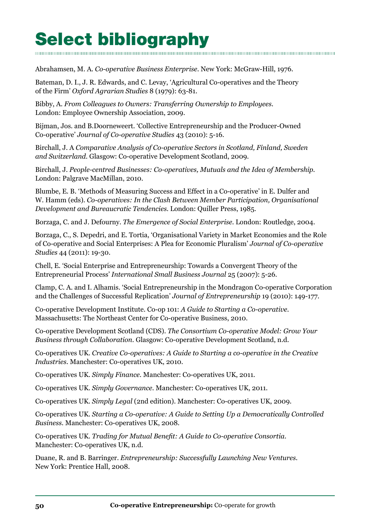## <span id="page-57-0"></span>Select bibliography

Abrahamsen, M. A. *Co-operative Business Enterprise*. New York: McGraw-Hill, 1976.

Bateman, D. I., J. R. Edwards, and C. Levay, 'Agricultural Co-operatives and the Theory of the Firm' *Oxford Agrarian Studies* 8 (1979): 63-81.

Bibby, A. *From Colleagues to Owners: Transferring Ownership to Employees.* London: Employee Ownership Association, 2009.

Bijman, Jos. and B.Doorneweert. 'Collective Entrepreneurship and the Producer-Owned Co-operative' *Journal of Co-operative Studies* 43 (2010): 5-16.

Birchall, J. A *Comparative Analysis of Co-operative Sectors in Scotland, Finland, Sweden and Switzerland.* Glasgow: Co-operative Development Scotland, 2009.

Birchall, J. *People-centred Businesses: Co-operatives, Mutuals and the Idea of Membership.*  London: Palgrave MacMillan, 2010.

Blumbe, E. B. 'Methods of Measuring Success and Effect in a Co-operative' in E. Dulfer and W. Hamm (eds). *Co-operatives: In the Clash Between Member Participation, Organisational Development and Bureaucratic Tendencies.* London: Quiller Press, 1985.

Borzaga, C. and J. Defourny. *The Emergence of Social Enterprise.* London: Routledge, 2004.

Borzaga, C., S. Depedri, and E. Tortia, 'Organisational Variety in Market Economies and the Role of Co-operative and Social Enterprises: A Plea for Economic Pluralism' *Journal of Co-operative Studies* 44 (2011): 19-30.

Chell, E. 'Social Enterprise and Entrepreneurship: Towards a Convergent Theory of the Entrepreneurial Process' *International Small Business Journal* 25 (2007): 5-26.

Clamp, C. A. and I. Alhamis. 'Social Entrepreneurship in the Mondragon Co-operative Corporation and the Challenges of Successful Replication' *Journal of Entrepreneurship* 19 (2010): 149-177.

Co-operative Development Institute. Co-op 101: *A Guide to Starting a Co-operative.*  Massachusetts: The Northeast Center for Co-operative Business, 2010.

Co-operative Development Scotland (CDS). *The Consortium Co-operative Model: Grow Your Business through Collaboration.* Glasgow: Co-operative Development Scotland, n.d.

Co-operatives UK. *Creative Co-operatives: A Guide to Starting a co-operative in the Creative Industries.* Manchester: Co-operatives UK, 2010.

Co-operatives UK. *Simply Finance.* Manchester: Co-operatives UK, 2011.

Co-operatives UK. *Simply Governance.* Manchester: Co-operatives UK, 2011.

Co-operatives UK. *Simply Legal* (2nd edition). Manchester: Co-operatives UK, 2009.

Co-operatives UK. *Starting a Co-operative: A Guide to Setting Up a Democratically Controlled Business.* Manchester: Co-operatives UK, 2008.

Co-operatives UK. *Trading for Mutual Benefit: A Guide to Co-operative Consortia.* Manchester: Co-operatives UK, n.d.

Duane, R. and B. Barringer. *Entrepreneurship: Successfully Launching New Ventures.* New York: Prentice Hall, 2008.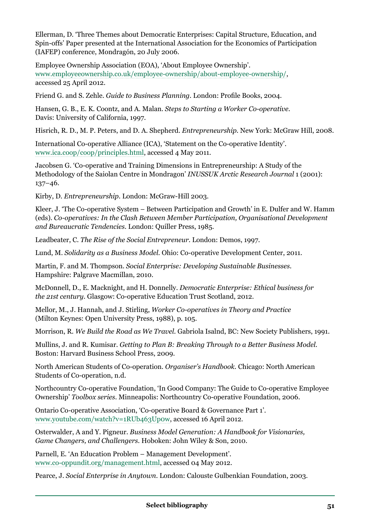Ellerman, D. 'Three Themes about Democratic Enterprises: Capital Structure, Education, and Spin-offs' Paper presented at the International Association for the Economics of Participation (IAFEP) conference, Mondragón, 20 July 2006.

Employee Ownership Association (EOA), 'About Employee Ownership'. [www.employeeownership.co.uk/employee-ownership/about-employee-ownership/,](http://www.employeeownership.co.uk/employee-ownership/about-employee-ownership/) accessed 25 April 2012.

Friend G. and S. Zehle. *Guide to Business Planning.* London: Profile Books, 2004.

Hansen, G. B., E. K. Coontz, and A. Malan. *Steps to Starting a Worker Co-operative.* Davis: University of California, 1997.

Hisrich, R. D., M. P. Peters, and D. A. Shepherd. *Entrepreneurship.* New York: McGraw Hill, 2008.

International Co-operative Alliance (ICA), 'Statement on the Co-operative Identity'. [www.ica.coop/coop/principles.html,](http://www.ica.coop/coop/principles.html) accessed 4 May 2011.

Jacobsen G. 'Co-operative and Training Dimensions in Entrepreneurship: A Study of the Methodology of the Saiolan Centre in Mondragon' *INUSSUK Arctic Research Journal* 1 (2001): 137–46.

Kirby, D. *Entrepreneurship.* London: McGraw-Hill 2003.

Kleer, J. 'The Co-operative System – Between Participation and Growth' in E. Dulfer and W. Hamm (eds). *Co-operatives: In the Clash Between Member Participation, Organisational Development and Bureaucratic Tendencies.* London: Quiller Press, 1985.

Leadbeater, C. *The Rise of the Social Entrepreneur.* London: Demos, 1997.

Lund, M. *Solidarity as a Business Model.* Ohio: Co-operative Development Center, 2011.

Martin, F. and M. Thompson. *Social Enterprise: Developing Sustainable Businesses.* Hampshire: Palgrave Macmillan, 2010.

McDonnell, D., E. Macknight, and H. Donnelly. *Democratic Enterprise: Ethical business for the 21st century.* Glasgow: Co-operative Education Trust Scotland, 2012.

Mellor, M., J. Hannah, and J. Stirling, *Worker Co-operatives in Theory and Practice* (Milton Keynes: Open University Press, 1988), p. 105.

Morrison, R. *We Build the Road as We Travel.* Gabriola Isalnd, BC: New Society Publishers, 1991.

Mullins, J. and R. Kumisar. *Getting to Plan B: Breaking Through to a Better Business Model.*  Boston: Harvard Business School Press, 2009.

North American Students of Co-operation. *Organiser's Handbook.* Chicago: North American Students of Co-operation, n.d.

Northcountry Co-operative Foundation, 'In Good Company: The Guide to Co-operative Employee Ownership' *Toolbox series*. Minneapolis: Northcountry Co-operative Foundation, 2006.

Ontario Co-operative Association, 'Co-operative Board & Governance Part 1'. [www.youtube.com/watch?v=1RUb463Up0w,](http://www.youtube.com/watch?v=1RUb463Up0w) accessed 16 April 2012.

Osterwalder, A and Y. Pigneur. *Business Model Generation: A Handbook for Visionaries, Game Changers, and Challengers.* Hoboken: John Wiley & Son, 2010.

Parnell, E. 'An Education Problem – Management Development'. [www.co-oppundit.org/management.html](http://www.co-oppundit.org/management.html), accessed 04 May 2012.

Pearce, J. *Social Enterprise in Anytown.* London: Calouste Gulbenkian Foundation, 2003.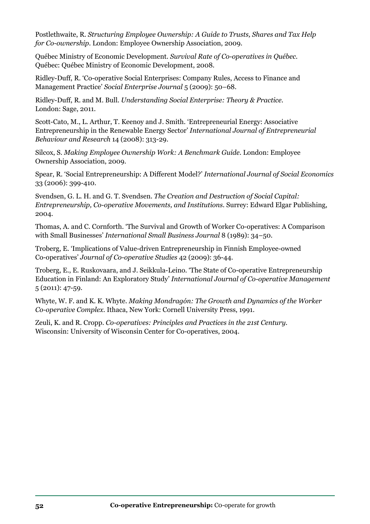Postlethwaite, R. *Structuring Employee Ownership: A Guide to Trusts, Shares and Tax Help for Co-ownership.* London: Employee Ownership Association, 2009.

Québec Ministry of Economic Development. *Survival Rate of Co-operatives in Québec.* Québec: Québec Ministry of Economic Development, 2008.

Ridley-Duff, R. 'Co-operative Social Enterprises: Company Rules, Access to Finance and Management Practice' *Social Enterprise Journal* 5 (2009): 50–68.

Ridley-Duff, R. and M. Bull. *Understanding Social Enterprise: Theory & Practice.* London: Sage, 2011.

Scott-Cato, M., L. Arthur, T. Keenoy and J. Smith. 'Entrepreneurial Energy: Associative Entrepreneurship in the Renewable Energy Sector' *International Journal of Entrepreneurial Behaviour and Research* 14 (2008): 313-29.

Silcox, S. *Making Employee Ownership Work: A Benchmark Guide.* London: Employee Ownership Association, 2009.

Spear, R. 'Social Entrepreneurship: A Different Model?' *International Journal of Social Economics*  33 (2006): 399-410.

Svendsen, G. L. H. and G. T. Svendsen. *The Creation and Destruction of Social Capital: Entrepreneurship, Co-operative Movements, and Institutions.* Surrey: Edward Elgar Publishing, 2004.

Thomas, A. and C. Cornforth. 'The Survival and Growth of Worker Co-operatives: A Comparison with Small Businesses' *International Small Business Journal* 8 (1989): 34–50.

Troberg, E. 'Implications of Value-driven Entrepreneurship in Finnish Employee-owned Co-operatives' *Journal of Co-operative Studies* 42 (2009): 36-44.

Troberg, E., E. Ruskovaara, and J. Seikkula-Leino. 'The State of Co-operative Entrepreneurship Education in Finland: An Exploratory Study' *International Journal of Co-operative Management* 5 (2011): 47-59.

Whyte, W. F. and K. K. Whyte. *Making Mondragón: The Growth and Dynamics of the Worker Co-operative Complex.* Ithaca, New York: Cornell University Press, 1991.

Zeuli, K. and R. Cropp. *Co-operatives: Principles and Practices in the 21st Century.* Wisconsin: University of Wisconsin Center for Co-operatives, 2004.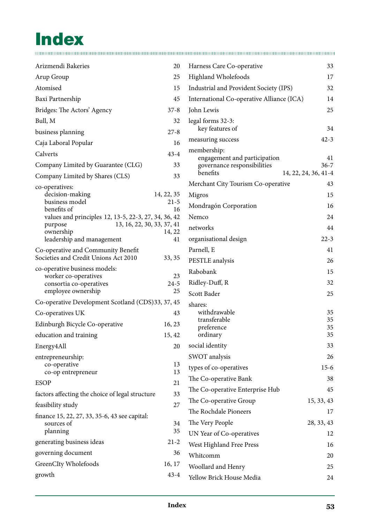# <span id="page-60-0"></span>**Index**

| Arizmendi Bakeries                                          | 20             | Harness Care Co-operative                   | 33                   |
|-------------------------------------------------------------|----------------|---------------------------------------------|----------------------|
| Arup Group                                                  | 25             | Highland Wholefoods                         | 17                   |
| Atomised                                                    | 15             | Industrial and Provident Society (IPS)      | 32                   |
| Baxi Partnership                                            | 45             | International Co-operative Alliance (ICA)   | 14                   |
| Bridges: The Actors' Agency                                 | $37 - 8$       | John Lewis                                  | 25                   |
| Bull, M                                                     | 32             | legal forms 32-3:                           |                      |
| business planning                                           | $27 - 8$       | key features of                             | 34                   |
| Caja Laboral Popular                                        | 16             | measuring success                           | $42 - 3$             |
| Calverts                                                    | $43 - 4$       | membership:<br>engagement and participation | 41                   |
| Company Limited by Guarantee (CLG)                          | 33             | governance responsibilities                 | $36 - 7$             |
| Company Limited by Shares (CLS)                             | 33             | benefits                                    | 14, 22, 24, 36, 41-4 |
| co-operatives:                                              |                | Merchant City Tourism Co-operative          | 43                   |
| decision-making                                             | 14, 22, 35     | Migros                                      | 15                   |
| business model<br>benefits of                               | $21 - 5$<br>16 | Mondragón Corporation                       | 16                   |
| values and principles 12, 13-5, 22-3, 27, 34, 36, 42        |                | Nemco                                       | 24                   |
| 13, 16, 22, 30, 33, 37, 41<br>purpose<br>ownership          | 14, 22         | networks                                    | 44                   |
| leadership and management                                   | 41             | organisational design                       | $22 - 3$             |
| Co-operative and Community Benefit                          |                | Parnell, E                                  | 41                   |
| Societies and Credit Unions Act 2010                        | 33, 35         | PESTLE analysis                             | 26                   |
| co-operative business models:                               | 23             | Rabobank                                    | 15                   |
| worker co-operatives<br>consortia co-operatives             | $24 - 5$       | Ridley-Duff, R                              | 32                   |
| employee ownership                                          | 25             | Scott Bader                                 | 25                   |
| Co-operative Development Scotland (CDS)33, 37, 45           |                | shares:                                     |                      |
| Co-operatives UK                                            | 43             | withdrawable                                | 35                   |
| Edinburgh Bicycle Co-operative                              | 16, 23         | transferable<br>preference                  | 35<br>35             |
| education and training                                      | 15, 42         | ordinary                                    | 35                   |
| Energy4All                                                  | 20             | social identity                             | 33                   |
| entrepreneurship:                                           |                | SWOT analysis                               | 26                   |
| co-operative<br>co-op entrepreneur                          | 13<br>13       | types of co-operatives                      | $15 - 6$             |
| ESOP                                                        | 21             | The Co-operative Bank                       | 38                   |
| factors affecting the choice of legal structure             | 33             | The Co-operative Enterprise Hub             | 45                   |
|                                                             | 27             | The Co-operative Group                      | 15, 33, 43           |
| feasibility study                                           |                | The Rochdale Pioneers                       | 17                   |
| finance 15, 22, 27, 33, 35-6, 43 see capital:<br>sources of | 34             | The Very People                             | 28, 33, 43           |
| planning                                                    | 35             | UN Year of Co-operatives                    | 12                   |
| generating business ideas                                   | $21 - 2$       | West Highland Free Press                    | 16                   |
| governing document                                          | 36             | Whitcomm                                    | 20                   |
| <b>GreenCIty Wholefoods</b>                                 | 16, 17         | Woollard and Henry                          | 25                   |
| growth                                                      | $43 - 4$       | Yellow Brick House Media                    | 24                   |